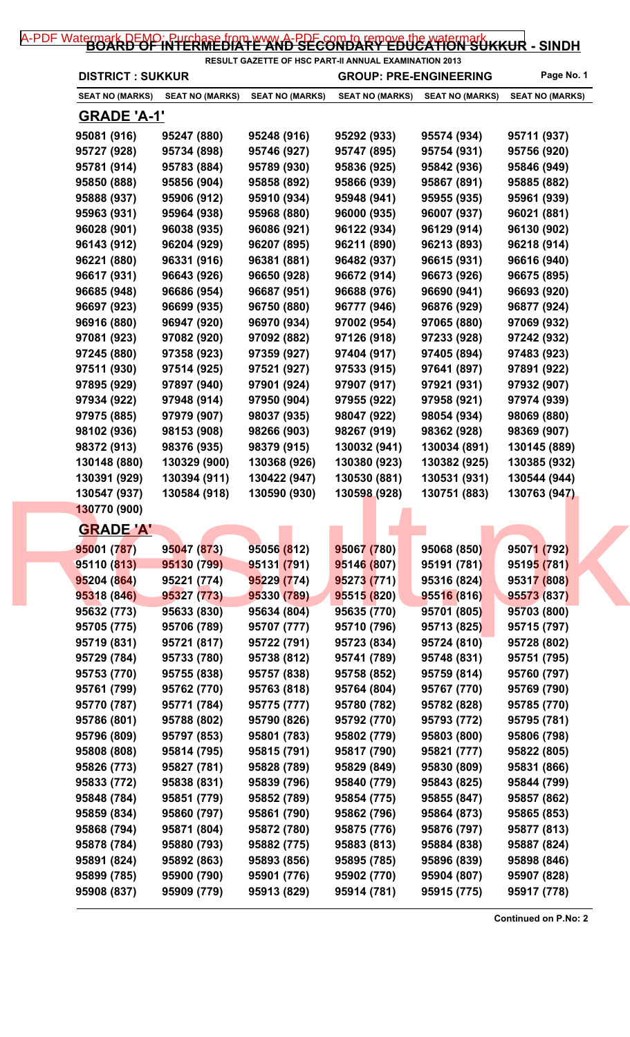## [A-PDF Watermark DEMO: Purchase from www.A-PDF.com to remove the watermark](http://www.a-pdf.com/?wm-demo) KKUR - SINDH

| <b>DISTRICT : SUKKUR</b>        |                 |                        | RESULT GAZETTE OF HSC PART-II ANNUAL EXAMINATION 2013<br><b>GROUP: PRE-ENGINEERING</b> |                        | Page No. 1             |
|---------------------------------|-----------------|------------------------|----------------------------------------------------------------------------------------|------------------------|------------------------|
| SEAT NO (MARKS)                 | SEAT NO (MARKS) | <b>SEAT NO (MARKS)</b> | <b>SEAT NO (MARKS)</b>                                                                 | <b>SEAT NO (MARKS)</b> | <b>SEAT NO (MARKS)</b> |
| <u>GRADE 'A-1'</u>              |                 |                        |                                                                                        |                        |                        |
| 95081 (916)                     | 95247 (880)     | 95248 (916)            | 95292 (933)                                                                            | 95574 (934)            | 95711 (937)            |
| 95727 (928)                     | 95734 (898)     | 95746 (927)            | 95747 (895)                                                                            | 95754 (931)            | 95756 (920)            |
| 95781 (914)                     | 95783 (884)     | 95789 (930)            | 95836 (925)                                                                            | 95842 (936)            | 95846 (949)            |
| 95850 (888)                     | 95856 (904)     | 95858 (892)            | 95866 (939)                                                                            | 95867 (891)            | 95885 (882)            |
| 95888 (937)                     | 95906 (912)     | 95910 (934)            | 95948 (941)                                                                            | 95955 (935)            | 95961 (939)            |
| 95963 (931)                     | 95964 (938)     | 95968 (880)            | 96000 (935)                                                                            | 96007 (937)            | 96021 (881)            |
| 96028 (901)                     | 96038 (935)     | 96086 (921)            | 96122 (934)                                                                            | 96129 (914)            | 96130 (902)            |
| 96143 (912)                     | 96204 (929)     | 96207 (895)            | 96211 (890)                                                                            | 96213 (893)            | 96218 (914)            |
| 96221 (880)                     | 96331 (916)     | 96381 (881)            | 96482 (937)                                                                            | 96615 (931)            | 96616 (940)            |
| 96617 (931)                     | 96643 (926)     | 96650 (928)            | 96672 (914)                                                                            | 96673 (926)            | 96675 (895)            |
| 96685 (948)                     | 96686 (954)     | 96687 (951)            | 96688 (976)                                                                            | 96690 (941)            | 96693 (920)            |
| 96697 (923)                     | 96699 (935)     | 96750 (880)            | 96777 (946)                                                                            | 96876 (929)            | 96877 (924)            |
| 96916 (880)                     | 96947 (920)     | 96970 (934)            | 97002 (954)                                                                            | 97065 (880)            | 97069 (932)            |
| 97081 (923)                     | 97082 (920)     | 97092 (882)            | 97126 (918)                                                                            | 97233 (928)            | 97242 (932)            |
| 97245 (880)                     | 97358 (923)     | 97359 (927)            | 97404 (917)                                                                            | 97405 (894)            | 97483 (923)            |
| 97511 (930)                     | 97514 (925)     | 97521 (927)            | 97533 (915)                                                                            | 97641 (897)            | 97891 (922)            |
| 97895 (929)                     | 97897 (940)     | 97901 (924)            | 97907 (917)                                                                            | 97921 (931)            | 97932 (907)            |
| 97934 (922)                     | 97948 (914)     | 97950 (904)            | 97955 (922)                                                                            | 97958 (921)            | 97974 (939)            |
| 97975 (885)                     | 97979 (907)     | 98037 (935)            | 98047 (922)                                                                            | 98054 (934)            | 98069 (880)            |
| 98102 (936)                     | 98153 (908)     | 98266 (903)            | 98267 (919)                                                                            | 98362 (928)            | 98369 (907)            |
| 98372 (913)                     | 98376 (935)     | 98379 (915)            | 130032 (941)                                                                           | 130034 (891)           | 130145 (889)           |
| 130148 (880)                    | 130329 (900)    | 130368 (926)           | 130380 (923)                                                                           |                        |                        |
|                                 |                 |                        |                                                                                        | 130382 (925)           | 130385 (932)           |
| 130391 (929)                    | 130394 (911)    | 130422 (947)           | 130530 (881)                                                                           | 130531 (931)           | 130544 (944)           |
| 130547 (937)                    | 130584 (918)    | 130590 (930)           | 130598 (928)                                                                           | 130751 (883)           | 130763 (947)           |
| 130770 (900)                    |                 |                        |                                                                                        |                        |                        |
| <b>GRADE 'A'</b><br>95001 (787) |                 | 95056 (812)            |                                                                                        | 95068 (850)            | 95071 (792)            |
|                                 | 95047 (873)     |                        | 95067 (780)                                                                            |                        |                        |
| 95110 (813)                     | 95130 (799)     | 95131 (791)            | 95146 (807)                                                                            | 95191 (781)            | 95195 (781)            |
| 95204 (864)                     | 95221 (774)     | 95229 (774)            | 95273 (771)                                                                            | 95316 (824)            | 95317 (808)            |
| 95318 (846)                     | 95327 (773)     | 95330 (789)            | 95515 (820)                                                                            | 95516 (816)            | 95573 (837)            |
| 95632 (773)                     | 95633 (830)     | 95634 (804)            | 95635 (770)                                                                            | 95701 (805)            | 95703 (800)            |
| 95705 (775)                     | 95706 (789)     | 95707 (777)            | 95710 (796)                                                                            | 95713 (825)            | 95715 (797)            |
| 95719 (831)                     | 95721 (817)     | 95722 (791)            | 95723 (834)                                                                            | 95724 (810)            | 95728 (802)            |
| 95729 (784)                     | 95733 (780)     | 95738 (812)            | 95741 (789)                                                                            | 95748 (831)            | 95751 (795)            |
| 95753 (770)                     | 95755 (838)     | 95757 (838)            | 95758 (852)                                                                            | 95759 (814)            | 95760 (797)            |
| 95761 (799)                     | 95762 (770)     | 95763 (818)            | 95764 (804)                                                                            | 95767 (770)            | 95769 (790)            |
| 95770 (787)                     | 95771 (784)     | 95775 (777)            | 95780 (782)                                                                            | 95782 (828)            | 95785 (770)            |
| 95786 (801)                     | 95788 (802)     | 95790 (826)            | 95792 (770)                                                                            | 95793 (772)            | 95795 (781)            |
| 95796 (809)                     | 95797 (853)     | 95801 (783)            | 95802 (779)                                                                            | 95803 (800)            | 95806 (798)            |
| 95808 (808)                     | 95814 (795)     | 95815 (791)            | 95817 (790)                                                                            | 95821 (777)            | 95822 (805)            |
| 95826 (773)                     | 95827 (781)     | 95828 (789)            | 95829 (849)                                                                            | 95830 (809)            | 95831 (866)            |
| 95833 (772)                     | 95838 (831)     | 95839 (796)            | 95840 (779)                                                                            | 95843 (825)            | 95844 (799)            |
| 95848 (784)                     | 95851 (779)     | 95852 (789)            | 95854 (775)                                                                            | 95855 (847)            | 95857 (862)            |
| 95859 (834)                     | 95860 (797)     | 95861 (790)            | 95862 (796)                                                                            | 95864 (873)            | 95865 (853)            |
|                                 | 95871 (804)     | 95872 (780)            | 95875 (776)                                                                            | 95876 (797)            | 95877 (813)            |
| 95868 (794)                     |                 |                        |                                                                                        |                        |                        |
| 95878 (784)                     | 95880 (793)     | 95882 (775)            | 95883 (813)                                                                            | 95884 (838)            | 95887 (824)            |
| 95891 (824)                     | 95892 (863)     | 95893 (856)            | 95895 (785)                                                                            | 95896 (839)            | 95898 (846)            |
| 95899 (785)                     | 95900 (790)     | 95901 (776)            | 95902 (770)                                                                            | 95904 (807)            | 95907 (828)            |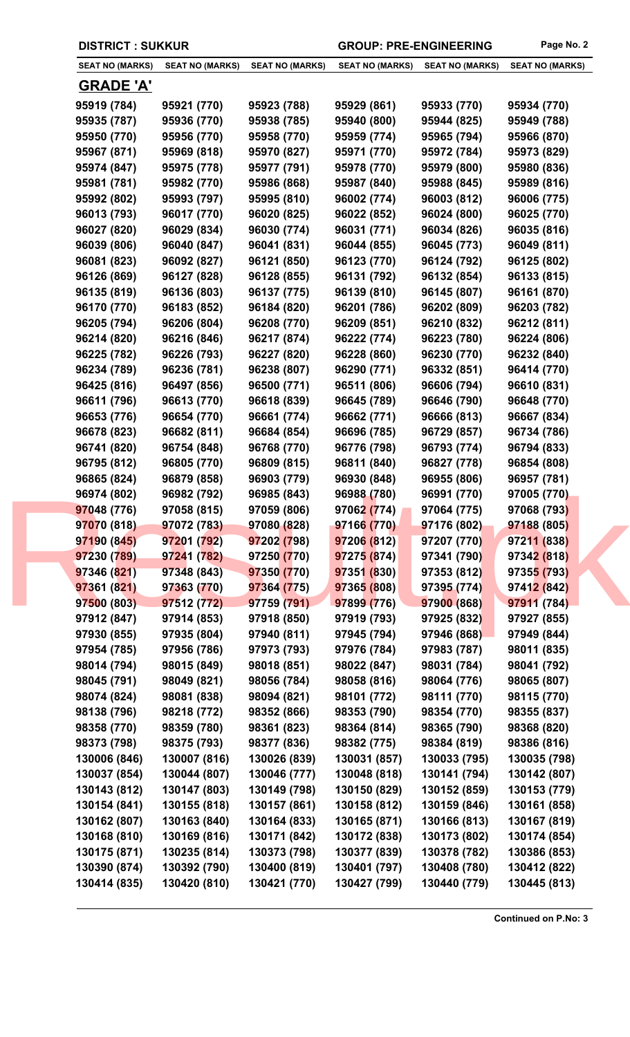| <b>SEAT NO (MARKS)</b> | <b>SEAT NO (MARKS)</b> | <b>SEAT NO (MARKS)</b> | <b>SEAT NO (MARKS)</b> | <b>SEAT NO (MARKS)</b> | <b>SEAT NO (MARKS)</b> |
|------------------------|------------------------|------------------------|------------------------|------------------------|------------------------|
|                        |                        |                        |                        |                        |                        |
| <u>GRADE 'A'</u>       |                        |                        |                        |                        |                        |
| 95919 (784)            | 95921 (770)            | 95923 (788)            | 95929 (861)            | 95933 (770)            | 95934 (770)            |
| 95935 (787)            | 95936 (770)            | 95938 (785)            | 95940 (800)            | 95944 (825)            | 95949 (788)            |
| 95950 (770)            | 95956 (770)            | 95958 (770)            | 95959 (774)            | 95965 (794)            | 95966 (870)            |
| 95967 (871)            | 95969 (818)            | 95970 (827)            | 95971 (770)            | 95972 (784)            | 95973 (829)            |
| 95974 (847)            | 95975 (778)            | 95977 (791)            | 95978 (770)            | 95979 (800)            | 95980 (836)            |
| 95981 (781)            | 95982 (770)            | 95986 (868)            | 95987 (840)            | 95988 (845)            | 95989 (816)            |
| 95992 (802)            | 95993 (797)            | 95995 (810)            | 96002 (774)            | 96003 (812)            | 96006 (775)            |
| 96013 (793)            | 96017 (770)            | 96020 (825)            | 96022 (852)            | 96024 (800)            | 96025 (770)            |
| 96027 (820)            | 96029 (834)            | 96030 (774)            | 96031 (771)            | 96034 (826)            | 96035 (816)            |
| 96039 (806)            | 96040 (847)            | 96041 (831)            | 96044 (855)            | 96045 (773)            | 96049 (811)            |
| 96081 (823)            | 96092 (827)            | 96121 (850)            | 96123 (770)            | 96124 (792)            | 96125 (802)            |
| 96126 (869)            | 96127 (828)            | 96128 (855)            | 96131 (792)            | 96132 (854)            | 96133 (815)            |
| 96135 (819)            | 96136 (803)            | 96137 (775)            | 96139 (810)            | 96145 (807)            | 96161 (870)            |
| 96170 (770)            | 96183 (852)            | 96184 (820)            | 96201 (786)            | 96202 (809)            | 96203 (782)            |
| 96205 (794)            | 96206 (804)            | 96208 (770)            | 96209 (851)            | 96210 (832)            | 96212 (811)            |
| 96214 (820)            | 96216 (846)            | 96217 (874)            | 96222 (774)            | 96223 (780)            | 96224 (806)            |
| 96225 (782)            | 96226 (793)            | 96227 (820)            | 96228 (860)            | 96230 (770)            | 96232 (840)            |
| 96234 (789)            | 96236 (781)            | 96238 (807)            | 96290 (771)            | 96332 (851)            | 96414 (770)            |
| 96425 (816)            | 96497 (856)            | 96500 (771)            | 96511 (806)            | 96606 (794)            | 96610 (831)            |
| 96611 (796)            | 96613 (770)            | 96618 (839)            | 96645 (789)            | 96646 (790)            | 96648 (770)            |
| 96653 (776)            | 96654 (770)            | 96661 (774)            | 96662 (771)            | 96666 (813)            | 96667 (834)            |
| 96678 (823)            | 96682 (811)            | 96684 (854)            | 96696 (785)            | 96729 (857)            | 96734 (786)            |
| 96741 (820)            | 96754 (848)            | 96768 (770)            | 96776 (798)            | 96793 (774)            | 96794 (833)            |
| 96795 (812)            | 96805 (770)            | 96809 (815)            | 96811 (840)            | 96827 (778)            | 96854 (808)            |
|                        |                        |                        | 96930 (848)            | 96955 (806)            |                        |
| 96865 (824)            | 96879 (858)            | 96903 (779)            |                        |                        | 96957 (781)            |
| 96974 (802)            | 96982 (792)            | 96985 (843)            | 96988 (780)            | 96991 (770)            | 97005 (770)            |
| 97048 (776)            | 97058 (815)            | 97059 (806)            | 97062 (774)            | 97064 (775)            | 97068 (793)            |
| 97070 (818)            | 97072 (783)            | 97080 (828)            | 97166 (770)            | 97176 (802)            | 97188 (805)            |
| 97190 (845)            | 97201 (792)            | 97202 (798)            | 97206 (812)            | 97207 (770)            | 97211 (838)            |
| 97230 (789)            | 97241 (782)            | 97250 (770)            | 97275 (874)            | 97341 (790)            | 97342 (818)            |
| 97346 (821)            | 97348 (843)            | 97350 (770)            | 97351 (830)            | 97353 (812)            | 97355 (793)            |
| 97361 (821)            | 97363 (770)            | 97364 (775)            | 97365 (808)            | 97395 (774)            | 97412 (842)            |
| 97500 (803)            | 97512 (772)            | 97759 (791)            | 97899 (776)            | 97900 (868)            | 97911 (784)            |
| 97912 (847)            | 97914 (853)            | 97918 (850)            | 97919 (793)            | 97925 (832)            | 97927 (855)            |
| 97930 (855)            | 97935 (804)            | 97940 (811)            | 97945 (794)            | 97946 (868)            | 97949 (844)            |
| 97954 (785)            | 97956 (786)            | 97973 (793)            | 97976 (784)            | 97983 (787)            | 98011 (835)            |
| 98014 (794)            | 98015 (849)            | 98018 (851)            | 98022 (847)            | 98031 (784)            | 98041 (792)            |
| 98045 (791)            | 98049 (821)            | 98056 (784)            | 98058 (816)            | 98064 (776)            | 98065 (807)            |
| 98074 (824)            | 98081 (838)            | 98094 (821)            | 98101 (772)            | 98111 (770)            | 98115 (770)            |
| 98138 (796)            | 98218 (772)            | 98352 (866)            | 98353 (790)            | 98354 (770)            | 98355 (837)            |
| 98358 (770)            | 98359 (780)            | 98361 (823)            | 98364 (814)            | 98365 (790)            | 98368 (820)            |
| 98373 (798)            | 98375 (793)            | 98377 (836)            | 98382 (775)            | 98384 (819)            | 98386 (816)            |
| 130006 (846)           | 130007 (816)           | 130026 (839)           | 130031 (857)           | 130033 (795)           | 130035 (798)           |
| 130037 (854)           | 130044 (807)           | 130046 (777)           | 130048 (818)           | 130141 (794)           | 130142 (807)           |
| 130143 (812)           | 130147 (803)           | 130149 (798)           | 130150 (829)           | 130152 (859)           | 130153 (779)           |
| 130154 (841)           | 130155 (818)           | 130157 (861)           | 130158 (812)           | 130159 (846)           | 130161 (858)           |
| 130162 (807)           | 130163 (840)           | 130164 (833)           | 130165 (871)           | 130166 (813)           | 130167 (819)           |
| 130168 (810)           | 130169 (816)           | 130171 (842)           | 130172 (838)           | 130173 (802)           | 130174 (854)           |
| 130175 (871)           | 130235 (814)           | 130373 (798)           | 130377 (839)           | 130378 (782)           | 130386 (853)           |
| 130390 (874)           | 130392 (790)           | 130400 (819)           | 130401 (797)           | 130408 (780)           | 130412 (822)           |
| 130414 (835)           | 130420 (810)           | 130421 (770)           | 130427 (799)           | 130440 (779)           | 130445 (813)           |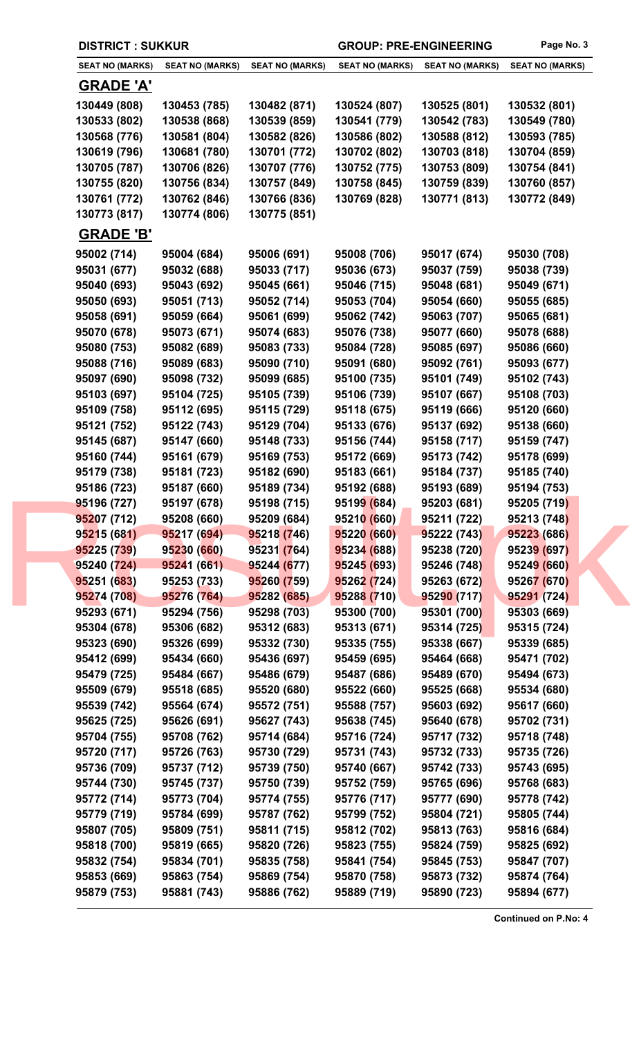| <b>DISTRICT: SUKKUR</b>    |                            |                            | <b>GROUP: PRE-ENGINEERING</b> |                            | Page No. 3                 |
|----------------------------|----------------------------|----------------------------|-------------------------------|----------------------------|----------------------------|
| <b>SEAT NO (MARKS)</b>     | <b>SEAT NO (MARKS)</b>     | <b>SEAT NO (MARKS)</b>     | <b>SEAT NO (MARKS)</b>        | <b>SEAT NO (MARKS)</b>     | <b>SEAT NO (MARKS)</b>     |
| <b>GRADE 'A'</b>           |                            |                            |                               |                            |                            |
| 130449 (808)               | 130453 (785)               | 130482 (871)               | 130524 (807)                  | 130525 (801)               | 130532 (801)               |
| 130533 (802)               | 130538 (868)               | 130539 (859)               | 130541 (779)                  | 130542 (783)               | 130549 (780)               |
| 130568 (776)               | 130581 (804)               | 130582 (826)               | 130586 (802)                  | 130588 (812)               | 130593 (785)               |
| 130619 (796)               | 130681 (780)               | 130701 (772)               | 130702 (802)                  | 130703 (818)               | 130704 (859)               |
| 130705 (787)               | 130706 (826)               | 130707 (776)               | 130752 (775)                  | 130753 (809)               | 130754 (841)               |
| 130755 (820)               | 130756 (834)               | 130757 (849)               | 130758 (845)                  | 130759 (839)               | 130760 (857)               |
| 130761 (772)               | 130762 (846)               | 130766 (836)               | 130769 (828)                  | 130771 (813)               | 130772 (849)               |
| 130773 (817)               | 130774 (806)               | 130775 (851)               |                               |                            |                            |
| <b>GRADE 'B'</b>           |                            |                            |                               |                            |                            |
| 95002 (714)                | 95004 (684)                | 95006 (691)                | 95008 (706)                   | 95017 (674)                | 95030 (708)                |
| 95031 (677)                | 95032 (688)                | 95033 (717)                | 95036 (673)                   | 95037 (759)                | 95038 (739)                |
| 95040 (693)                | 95043 (692)                | 95045 (661)                | 95046 (715)                   | 95048 (681)                | 95049 (671)                |
| 95050 (693)                | 95051 (713)                | 95052 (714)                | 95053 (704)                   | 95054 (660)                | 95055 (685)                |
| 95058 (691)                | 95059 (664)                | 95061 (699)                | 95062 (742)                   | 95063 (707)                | 95065 (681)                |
| 95070 (678)                | 95073 (671)                | 95074 (683)                | 95076 (738)                   | 95077 (660)                | 95078 (688)                |
| 95080 (753)                | 95082 (689)                | 95083 (733)                | 95084 (728)                   | 95085 (697)                | 95086 (660)                |
| 95088 (716)                | 95089 (683)                | 95090 (710)                | 95091 (680)                   | 95092 (761)                | 95093 (677)                |
| 95097 (690)                | 95098 (732)                | 95099 (685)                | 95100 (735)                   | 95101 (749)                | 95102 (743)                |
| 95103 (697)                | 95104 (725)                | 95105 (739)                | 95106 (739)                   | 95107 (667)                | 95108 (703)                |
| 95109 (758)                | 95112 (695)                | 95115 (729)                | 95118 (675)                   | 95119 (666)                | 95120 (660)                |
| 95121 (752)                | 95122 (743)                | 95129 (704)                | 95133 (676)                   | 95137 (692)                | 95138 (660)                |
| 95145 (687)                | 95147 (660)                | 95148 (733)                | 95156 (744)                   | 95158 (717)                | 95159 (747)                |
| 95160 (744)                | 95161 (679)                | 95169 (753)                | 95172 (669)                   | 95173 (742)                | 95178 (699)                |
| 95179 (738)                | 95181 (723)                | 95182 (690)                | 95183 (661)                   | 95184 (737)                | 95185 (740)                |
| 95186 (723)                | 95187 (660)                | 95189 (734)                | 95192 (688)                   | 95193 (689)<br>95203 (681) | 95194 (753)                |
| 95196 (727)<br>95207 (712) | 95197 (678)<br>95208 (660) | 95198 (715)<br>95209 (684) | 95199 (684)<br>95210 (660)    | 95211 (722)                | 95205 (719)<br>95213 (748) |
| 95215 (681)                | 95217 (694)                | 95218 (746)                | 95220 (660)                   | 95222 (743)                | 95223 (686)                |
| 95225 (739)                | 95230 (660)                | 95231 (764)                | 95234 (688)                   | 95238 (720)                | 95239 (697)                |
| 95240 (724)                | 95241 (661)                | 95244 (677)                | 95245 (693)                   | 95246 (748)                | 95249 (660)                |
| 95251 (683)                | 95253 (733)                | 95260 (759)                | 95262 (724)                   | 95263 (672)                | 95267 (670)                |
| 95274 (708)                | 95276 (764)                | 95282 (685)                | 95288 (710)                   | 95290 (717)                | 95291 (724)                |
| 95293 (671)                | 95294 (756)                | 95298 (703)                | 95300 (700)                   | 95301 (700)                | 95303 (669)                |
| 95304 (678)                | 95306 (682)                | 95312 (683)                | 95313 (671)                   | 95314 (725)                | 95315 (724)                |
| 95323 (690)                | 95326 (699)                | 95332 (730)                | 95335 (755)                   | 95338 (667)                | 95339 (685)                |
| 95412 (699)                | 95434 (660)                | 95436 (697)                | 95459 (695)                   | 95464 (668)                | 95471 (702)                |
| 95479 (725)                | 95484 (667)                | 95486 (679)                | 95487 (686)                   | 95489 (670)                | 95494 (673)                |
| 95509 (679)                | 95518 (685)                | 95520 (680)                | 95522 (660)                   | 95525 (668)                | 95534 (680)                |
| 95539 (742)                | 95564 (674)                | 95572 (751)                | 95588 (757)                   | 95603 (692)                | 95617 (660)                |
| 95625 (725)                | 95626 (691)                | 95627 (743)                | 95638 (745)                   | 95640 (678)                | 95702 (731)                |
| 95704 (755)                | 95708 (762)                | 95714 (684)                | 95716 (724)                   | 95717 (732)                | 95718 (748)                |
| 95720 (717)                | 95726 (763)                | 95730 (729)                | 95731 (743)                   | 95732 (733)                | 95735 (726)                |
| 95736 (709)                | 95737 (712)                | 95739 (750)                | 95740 (667)                   | 95742 (733)                | 95743 (695)                |
| 95744 (730)                | 95745 (737)                | 95750 (739)                | 95752 (759)                   | 95765 (696)                | 95768 (683)                |
| 95772 (714)                | 95773 (704)                | 95774 (755)                | 95776 (717)                   | 95777 (690)                | 95778 (742)                |
| 95779 (719)                | 95784 (699)                | 95787 (762)                | 95799 (752)                   | 95804 (721)                | 95805 (744)                |
| 95807 (705)                | 95809 (751)                | 95811 (715)                | 95812 (702)                   | 95813 (763)                | 95816 (684)                |
| 95818 (700)                | 95819 (665)                | 95820 (726)                | 95823 (755)                   | 95824 (759)                | 95825 (692)                |
| 95832 (754)                | 95834 (701)                | 95835 (758)                | 95841 (754)                   | 95845 (753)                | 95847 (707)                |
| 95853 (669)                | 95863 (754)                | 95869 (754)                | 95870 (758)                   | 95873 (732)                | 95874 (764)                |
| 95879 (753)                | 95881 (743)                | 95886 (762)                | 95889 (719)                   | 95890 (723)                | 95894 (677)                |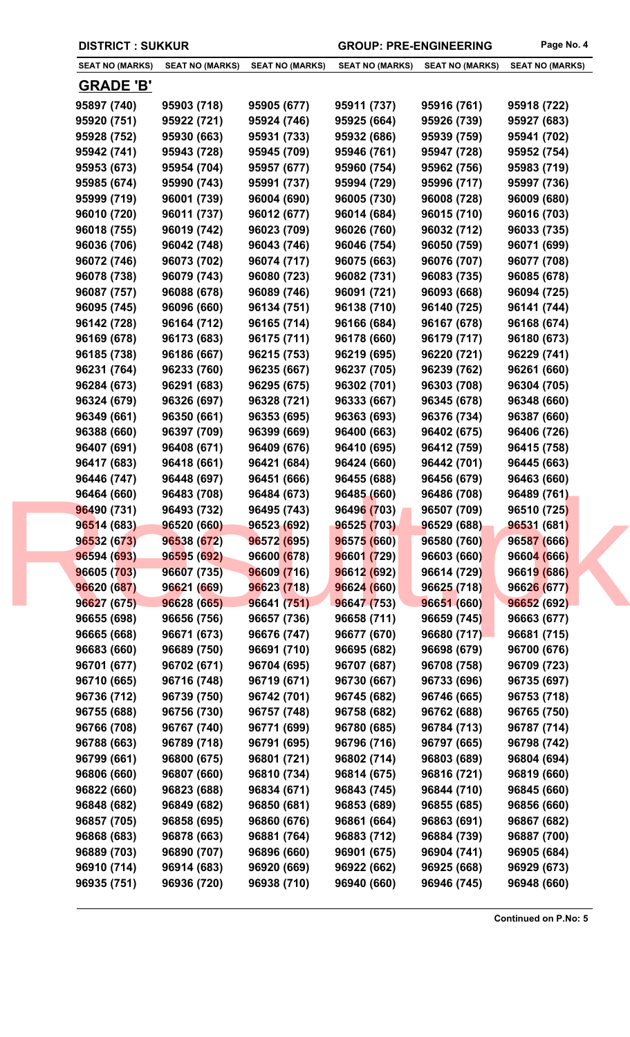| <b>DISTRICT: SUKKUR</b> |  |
|-------------------------|--|
|-------------------------|--|

GROUP: PRE-ENGINEERING Page No. 4

| <b>SEAT NO (MARKS)</b> | <b>SEAT NO (MARKS)</b> | <b>SEAT NO (MARKS)</b> | <b>SEAT NO (MARKS)</b> | <b>SEAT NO (MARKS)</b> | <b>SEAT NO (MARKS)</b> |
|------------------------|------------------------|------------------------|------------------------|------------------------|------------------------|
| <b>GRADE 'B'</b>       |                        |                        |                        |                        |                        |
| 95897 (740)            | 95903 (718)            | 95905 (677)            | 95911 (737)            | 95916 (761)            | 95918 (722)            |
| 95920 (751)            | 95922 (721)            | 95924 (746)            | 95925 (664)            | 95926 (739)            | 95927 (683)            |
| 95928 (752)            | 95930 (663)            | 95931 (733)            | 95932 (686)            | 95939 (759)            | 95941 (702)            |
| 95942 (741)            | 95943 (728)            | 95945 (709)            | 95946 (761)            | 95947 (728)            | 95952 (754)            |
| 95953 (673)            | 95954 (704)            | 95957 (677)            | 95960 (754)            | 95962 (756)            | 95983 (719)            |
| 95985 (674)            | 95990 (743)            | 95991 (737)            | 95994 (729)            | 95996 (717)            | 95997 (736)            |
| 95999 (719)            | 96001 (739)            | 96004 (690)            | 96005 (730)            | 96008 (728)            | 96009 (680)            |
| 96010 (720)            | 96011 (737)            | 96012 (677)            | 96014 (684)            | 96015 (710)            | 96016 (703)            |
| 96018 (755)            | 96019 (742)            | 96023 (709)            | 96026 (760)            | 96032 (712)            | 96033 (735)            |
| 96036 (706)            | 96042 (748)            | 96043 (746)            | 96046 (754)            | 96050 (759)            | 96071 (699)            |
| 96072 (746)            | 96073 (702)            | 96074 (717)            | 96075 (663)            | 96076 (707)            | 96077 (708)            |
| 96078 (738)            | 96079 (743)            | 96080 (723)            | 96082 (731)            | 96083 (735)            | 96085 (678)            |
| 96087 (757)            | 96088 (678)            | 96089 (746)            | 96091 (721)            | 96093 (668)            | 96094 (725)            |
| 96095 (745)            | 96096 (660)            | 96134 (751)            | 96138 (710)            | 96140 (725)            | 96141 (744)            |
| 96142 (728)            | 96164 (712)            | 96165 (714)            | 96166 (684)            | 96167 (678)            | 96168 (674)            |
| 96169 (678)            | 96173 (683)            | 96175 (711)            | 96178 (660)            | 96179 (717)            | 96180 (673)            |
| 96185 (738)            | 96186 (667)            | 96215 (753)            | 96219 (695)            | 96220 (721)            | 96229 (741)            |
| 96231 (764)            | 96233 (760)            | 96235 (667)            | 96237 (705)            | 96239 (762)            | 96261 (660)            |
| 96284 (673)            | 96291 (683)            | 96295 (675)            | 96302 (701)            | 96303 (708)            | 96304 (705)            |
| 96324 (679)            | 96326 (697)            | 96328 (721)            | 96333 (667)            | 96345 (678)            | 96348 (660)            |
| 96349 (661)            | 96350 (661)            | 96353 (695)            | 96363 (693)            | 96376 (734)            | 96387 (660)            |
| 96388 (660)            | 96397 (709)            | 96399 (669)            | 96400 (663)            | 96402 (675)            | 96406 (726)            |
| 96407 (691)            | 96408 (671)            | 96409 (676)            | 96410 (695)            | 96412 (759)            | 96415 (758)            |
| 96417 (683)            | 96418 (661)            | 96421 (684)            | 96424 (660)            | 96442 (701)            | 96445 (663)            |
| 96446 (747)            | 96448 (697)            | 96451 (666)            | 96455 (688)            | 96456 (679)            | 96463 (660)            |
| 96464 (660)            | 96483 (708)            | 96484 (673)            | 96485 (660)            | 96486 (708)            | 96489 (761)            |
| 96490 (731)            | 96493 (732)            | 96495 (743)            | 96496 (703)            | 96507 (709)            | 96510 (725)            |
| 96514 (683)            | 96520 (660)            | 96523 (692)            | 96525 (703)            | 96529 (688)            | 96531 (681)            |
| 96532 (673)            | 96538 (672)            | 96572 (695)            | 96575 (660)            | 96580 (760)            | 96587 (666)            |
| 96594 (693)            | 96595 (692)            | 96600 (678)            | 96601 (729)            | 96603 (660)            | 96604 (666)            |
| 96605 (703)            | 96607 (735)            | 96609 (716)            | 96612 (692)            | 96614 (729)            | 96619 (686)            |
| 96620 (687)            | 96621 (669)            | 96623 (718)            | 96624 (660)            | 96625 (718)            | 96626 (677)            |
| 96627 (675)            | 96628 (665)            | 96641 (751)            | 96647 (753)            | 96651 (660)            | 96652 (692)            |
| 96655 (698)            | 96656 (756)            | 96657 (736)            | 96658 (711)            | 96659 (745)            | 96663 (677)            |
| 96665 (668)            | 96671 (673)            | 96676 (747)            | 96677 (670)            | 96680 (717)            | 96681 (715)            |
| 96683 (660)            | 96689 (750)            | 96691 (710)            | 96695 (682)            | 96698 (679)            | 96700 (676)            |
| 96701 (677)            | 96702 (671)            | 96704 (695)            | 96707 (687)            | 96708 (758)            | 96709 (723)            |
| 96710 (665)            | 96716 (748)            | 96719 (671)            | 96730 (667)            | 96733 (696)            | 96735 (697)            |
| 96736 (712)            | 96739 (750)            | 96742 (701)            | 96745 (682)            | 96746 (665)            | 96753 (718)            |
| 96755 (688)            | 96756 (730)            | 96757 (748)            | 96758 (682)            | 96762 (688)            | 96765 (750)            |
| 96766 (708)            | 96767 (740)            | 96771 (699)            | 96780 (685)            | 96784 (713)            | 96787 (714)            |
| 96788 (663)            | 96789 (718)            | 96791 (695)            | 96796 (716)            | 96797 (665)            | 96798 (742)            |
| 96799 (661)            | 96800 (675)            | 96801 (721)            | 96802 (714)            | 96803 (689)            | 96804 (694)            |
| 96806 (660)            | 96807 (660)            | 96810 (734)            | 96814 (675)            | 96816 (721)            | 96819 (660)            |
| 96822 (660)            | 96823 (688)            | 96834 (671)            | 96843 (745)            | 96844 (710)            | 96845 (660)            |
| 96848 (682)            | 96849 (682)            | 96850 (681)            | 96853 (689)            | 96855 (685)            | 96856 (660)            |
| 96857 (705)            | 96858 (695)            | 96860 (676)            | 96861 (664)            | 96863 (691)            | 96867 (682)            |
| 96868 (683)            | 96878 (663)            | 96881 (764)            | 96883 (712)            | 96884 (739)            | 96887 (700)            |
| 96889 (703)            | 96890 (707)            | 96896 (660)            | 96901 (675)            | 96904 (741)            | 96905 (684)            |
|                        | 96914 (683)            | 96920 (669)            | 96922 (662)            | 96925 (668)            | 96929 (673)            |
| 96910 (714)            |                        |                        |                        |                        |                        |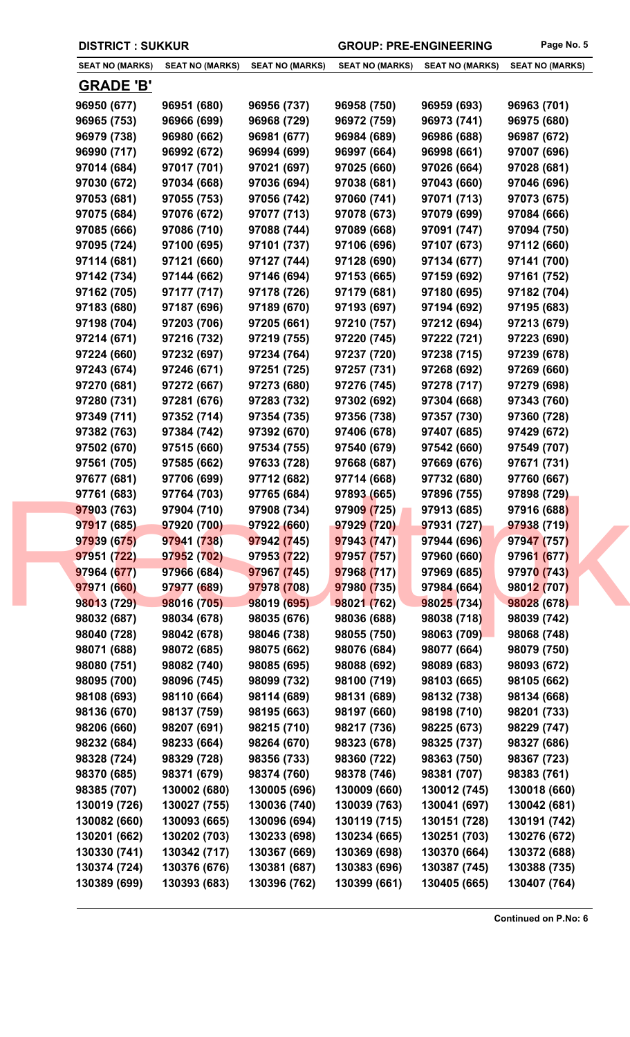|  | <b>DISTRICT: SUKKUR</b> |
|--|-------------------------|
|--|-------------------------|

GROUP: PRE-ENGINEERING Page No. 5

| <b>SEAT NO (MARKS)</b> | <b>SEAT NO (MARKS)</b>     | <b>SEAT NO (MARKS)</b>     | <b>SEAT NO (MARKS)</b> | <b>SEAT NO (MARKS)</b> | <b>SEAT NO (MARKS)</b> |
|------------------------|----------------------------|----------------------------|------------------------|------------------------|------------------------|
|                        |                            |                            |                        |                        |                        |
| <b>GRADE 'B'</b>       |                            |                            |                        |                        |                        |
| 96950 (677)            | 96951 (680)                | 96956 (737)                | 96958 (750)            | 96959 (693)            | 96963 (701)            |
| 96965 (753)            | 96966 (699)                | 96968 (729)                | 96972 (759)            | 96973 (741)            | 96975 (680)            |
| 96979 (738)            | 96980 (662)                | 96981 (677)                | 96984 (689)            | 96986 (688)            | 96987 (672)            |
| 96990 (717)            | 96992 (672)                | 96994 (699)                | 96997 (664)            | 96998 (661)            | 97007 (696)            |
| 97014 (684)            | 97017 (701)                | 97021 (697)                | 97025 (660)            | 97026 (664)            | 97028 (681)            |
| 97030 (672)            | 97034 (668)                | 97036 (694)                | 97038 (681)            | 97043 (660)            | 97046 (696)            |
| 97053 (681)            | 97055 (753)                | 97056 (742)                | 97060 (741)            | 97071 (713)            | 97073 (675)            |
| 97075 (684)            | 97076 (672)                | 97077 (713)                | 97078 (673)            | 97079 (699)            | 97084 (666)            |
| 97085 (666)            | 97086 (710)                | 97088 (744)                | 97089 (668)            | 97091 (747)            | 97094 (750)            |
| 97095 (724)            | 97100 (695)                | 97101 (737)                | 97106 (696)            | 97107 (673)            | 97112 (660)            |
| 97114 (681)            | 97121 (660)                | 97127 (744)                | 97128 (690)            | 97134 (677)            | 97141 (700)            |
| 97142 (734)            | 97144 (662)                | 97146 (694)                | 97153 (665)            | 97159 (692)            | 97161 (752)            |
| 97162 (705)            | 97177 (717)                | 97178 (726)                | 97179 (681)            | 97180 (695)            | 97182 (704)            |
| 97183 (680)            | 97187 (696)                | 97189 (670)                | 97193 (697)            | 97194 (692)            | 97195 (683)            |
| 97198 (704)            | 97203 (706)                | 97205 (661)                | 97210 (757)            | 97212 (694)            | 97213 (679)            |
| 97214 (671)            | 97216 (732)                | 97219 (755)                | 97220 (745)            | 97222 (721)            | 97223 (690)            |
| 97224 (660)            | 97232 (697)                | 97234 (764)                | 97237 (720)            | 97238 (715)            | 97239 (678)            |
| 97243 (674)            | 97246 (671)                | 97251 (725)                | 97257 (731)            | 97268 (692)            | 97269 (660)            |
| 97270 (681)            | 97272 (667)                | 97273 (680)                | 97276 (745)            | 97278 (717)            | 97279 (698)            |
| 97280 (731)            | 97281 (676)                | 97283 (732)                | 97302 (692)            | 97304 (668)            | 97343 (760)            |
| 97349 (711)            | 97352 (714)                | 97354 (735)                | 97356 (738)            | 97357 (730)            | 97360 (728)            |
| 97382 (763)            | 97384 (742)                | 97392 (670)                | 97406 (678)            | 97407 (685)            | 97429 (672)            |
| 97502 (670)            | 97515 (660)                | 97534 (755)                | 97540 (679)            | 97542 (660)            | 97549 (707)            |
| 97561 (705)            | 97585 (662)                | 97633 (728)                | 97668 (687)            | 97669 (676)            | 97671 (731)            |
| 97677 (681)            |                            | 97712 (682)                | 97714 (668)            |                        |                        |
|                        | 97706 (699)<br>97764 (703) |                            |                        | 97732 (680)            | 97760 (667)            |
| 97761 (683)            | 97904 (710)                | 97765 (684)<br>97908 (734) | 97893 (665)            | 97896 (755)            | 97898 (729)            |
| 97903 (763)            |                            |                            | 97909 (725)            | 97913 (685)            | 97916 (688)            |
| 97917 (685)            | 97920 (700)                | 97922 (660)                | 97929 (720)            | 97931 (727)            | 97938 (719)            |
| 97939 (675)            | 97941 (738)                | 97942 (745)                | 97943 (747)            | 97944 (696)            | 97947 (757)            |
| 97951 (722)            | 97952 (702)                | 97953 (722)                | 97957 (757)            | 97960 (660)            | 97961 (677)            |
| 97964 (677)            | 97966 (684)                | 97967 (745)                | 97968 (717)            | 97969 (685)            | 97970 (743)            |
| 97971 (660)            | 97977 (689)                | 97978 (708)                | 97980 (735)            | 97984 (664)            | 98012 (707)            |
| 98013 (729)            | 98016 (705)                | 98019 (695)                | 98021 (762)            | 98025 (734)            | 98028 (678)            |
| 98032 (687)            | 98034 (678)                | 98035 (676)                | 98036 (688)            | 98038 (718)            | 98039 (742)            |
| 98040 (728)            | 98042 (678)                | 98046 (738)                | 98055 (750)            | 98063 (709)            | 98068 (748)            |
| 98071 (688)            | 98072 (685)                | 98075 (662)                | 98076 (684)            | 98077 (664)            | 98079 (750)            |
| 98080 (751)            | 98082 (740)                | 98085 (695)                | 98088 (692)            | 98089 (683)            | 98093 (672)            |
| 98095 (700)            | 98096 (745)                | 98099 (732)                | 98100 (719)            | 98103 (665)            | 98105 (662)            |
| 98108 (693)            | 98110 (664)                | 98114 (689)                | 98131 (689)            | 98132 (738)            | 98134 (668)            |
| 98136 (670)            | 98137 (759)                | 98195 (663)                | 98197 (660)            | 98198 (710)            | 98201 (733)            |
| 98206 (660)            | 98207 (691)                | 98215 (710)                | 98217 (736)            | 98225 (673)            | 98229 (747)            |
| 98232 (684)            | 98233 (664)                | 98264 (670)                | 98323 (678)            | 98325 (737)            | 98327 (686)            |
| 98328 (724)            | 98329 (728)                | 98356 (733)                | 98360 (722)            | 98363 (750)            | 98367 (723)            |
| 98370 (685)            | 98371 (679)                | 98374 (760)                | 98378 (746)            | 98381 (707)            | 98383 (761)            |
| 98385 (707)            | 130002 (680)               | 130005 (696)               | 130009 (660)           | 130012 (745)           | 130018 (660)           |
| 130019 (726)           | 130027 (755)               | 130036 (740)               | 130039 (763)           | 130041 (697)           | 130042 (681)           |
| 130082 (660)           | 130093 (665)               | 130096 (694)               | 130119 (715)           | 130151 (728)           | 130191 (742)           |
| 130201 (662)           | 130202 (703)               | 130233 (698)               | 130234 (665)           | 130251 (703)           | 130276 (672)           |
| 130330 (741)           | 130342 (717)               | 130367 (669)               | 130369 (698)           | 130370 (664)           | 130372 (688)           |
| 130374 (724)           | 130376 (676)               | 130381 (687)               | 130383 (696)           | 130387 (745)           | 130388 (735)           |
| 130389 (699)           | 130393 (683)               | 130396 (762)               | 130399 (661)           | 130405 (665)           | 130407 (764)           |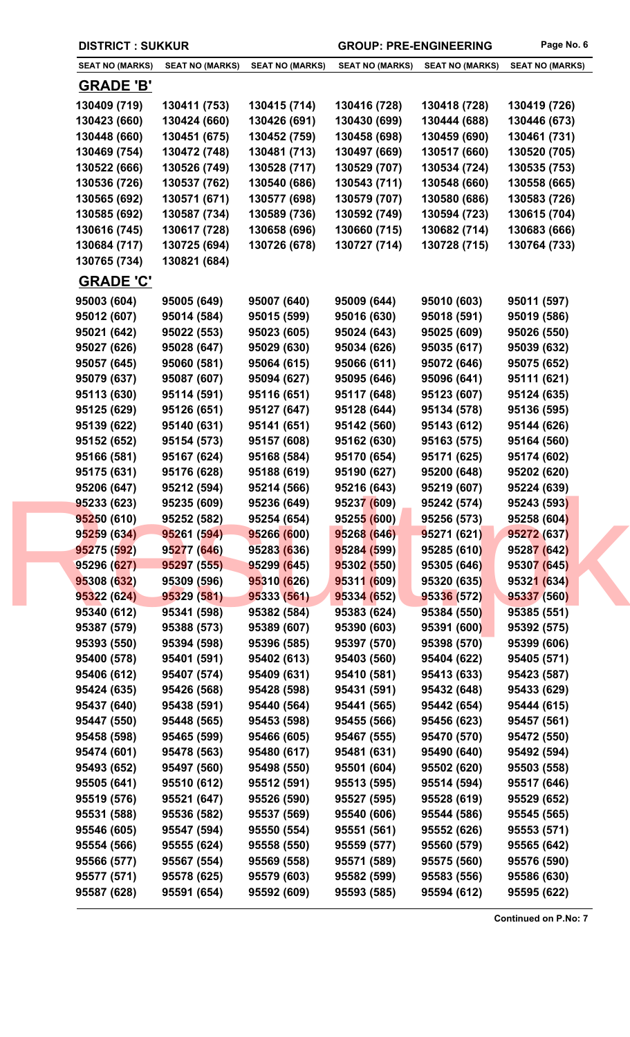| <b>DISTRICT: SUKKUR</b>    |                            |                            | <b>GROUP: PRE-ENGINEERING</b> |                            | Page No. 6                 |
|----------------------------|----------------------------|----------------------------|-------------------------------|----------------------------|----------------------------|
| <b>SEAT NO (MARKS)</b>     | <b>SEAT NO (MARKS)</b>     | <b>SEAT NO (MARKS)</b>     | <b>SEAT NO (MARKS)</b>        | <b>SEAT NO (MARKS)</b>     | <b>SEAT NO (MARKS)</b>     |
| <b>GRADE 'B'</b>           |                            |                            |                               |                            |                            |
| 130409 (719)               | 130411 (753)               | 130415 (714)               | 130416 (728)                  | 130418 (728)               | 130419 (726)               |
| 130423 (660)               | 130424 (660)               | 130426 (691)               | 130430 (699)                  | 130444 (688)               | 130446 (673)               |
| 130448 (660)               | 130451 (675)               | 130452 (759)               | 130458 (698)                  | 130459 (690)               | 130461 (731)               |
| 130469 (754)               | 130472 (748)               | 130481 (713)               | 130497 (669)                  | 130517 (660)               | 130520 (705)               |
| 130522 (666)               | 130526 (749)               | 130528 (717)               | 130529 (707)                  | 130534 (724)               | 130535 (753)               |
| 130536 (726)               | 130537 (762)               | 130540 (686)               | 130543 (711)                  | 130548 (660)               | 130558 (665)               |
| 130565 (692)               | 130571 (671)               | 130577 (698)               | 130579 (707)                  | 130580 (686)               | 130583 (726)               |
| 130585 (692)               | 130587 (734)               | 130589 (736)               | 130592 (749)                  | 130594 (723)               | 130615 (704)               |
| 130616 (745)               | 130617 (728)               | 130658 (696)               | 130660 (715)                  | 130682 (714)               | 130683 (666)               |
| 130684 (717)               | 130725 (694)               | 130726 (678)               | 130727 (714)                  | 130728 (715)               | 130764 (733)               |
| 130765 (734)               | 130821 (684)               |                            |                               |                            |                            |
| <b>GRADE 'C'</b>           |                            |                            |                               |                            |                            |
| 95003 (604)                | 95005 (649)                | 95007 (640)                | 95009 (644)                   | 95010 (603)                | 95011 (597)                |
| 95012 (607)                | 95014 (584)                | 95015 (599)                | 95016 (630)                   | 95018 (591)                | 95019 (586)                |
| 95021 (642)                | 95022 (553)                | 95023 (605)                | 95024 (643)                   | 95025 (609)                | 95026 (550)                |
| 95027 (626)                | 95028 (647)                | 95029 (630)                | 95034 (626)                   | 95035 (617)                | 95039 (632)                |
| 95057 (645)                | 95060 (581)                | 95064 (615)                | 95066 (611)                   | 95072 (646)                | 95075 (652)                |
| 95079 (637)                | 95087 (607)                | 95094 (627)                | 95095 (646)                   | 95096 (641)                | 95111 (621)                |
| 95113 (630)                | 95114 (591)                | 95116 (651)                | 95117 (648)                   | 95123 (607)                | 95124 (635)                |
| 95125 (629)                | 95126 (651)                | 95127 (647)                | 95128 (644)                   | 95134 (578)                | 95136 (595)                |
| 95139 (622)                | 95140 (631)                | 95141 (651)                | 95142 (560)                   | 95143 (612)                | 95144 (626)                |
| 95152 (652)                | 95154 (573)                | 95157 (608)                | 95162 (630)                   | 95163 (575)                | 95164 (560)                |
| 95166 (581)                | 95167 (624)                | 95168 (584)                | 95170 (654)                   | 95171 (625)                | 95174 (602)                |
| 95175 (631)                | 95176 (628)                | 95188 (619)                | 95190 (627)                   | 95200 (648)                | 95202 (620)                |
| 95206 (647)                | 95212 (594)                | 95214 (566)                | 95216 (643)                   | 95219 (607)                | 95224 (639)                |
| 95233 (623)                | 95235 (609)                | 95236 (649)                | 95237 (609)                   | 95242 (574)                | 95243 (593)                |
| 95250 (610)                | 95252 (582)                | 95254 (654)                | 95255 (600)                   | 95256 (573)                | 95258 (604)                |
| 95259 (634)                | 95261 (594)                | 95266 (600)                | 95268 (646)                   | 95271 (621)                | 95272 (637)                |
| 95275 (592)                | 95277 (646)                | 95283 (636)                | 95284 (599)                   | 95285 (610)                | 95287 (642)                |
| 95296 (627)                | 95297 (555)                | 95299 (645)                | 95302 (550)                   | 95305 (646)                | 95307 (645)                |
| 95308 (632)                | 95309 (596)                | 95310 (626)                | 95311 (609)                   | 95320 (635)                | 95321 (634)                |
| 95322 (624)                | 95329 (581)                | 95333 (561)                | 95334 (652)                   | 95336 (572)                | 95337 (560)                |
| 95340 (612)                | 95341 (598)                | 95382 (584)                | 95383 (624)                   | 95384 (550)                | 95385 (551)                |
| 95387 (579)                | 95388 (573)                | 95389 (607)                | 95390 (603)                   | 95391 (600)                | 95392 (575)                |
| 95393 (550)<br>95400 (578) | 95394 (598)<br>95401 (591) | 95396 (585)<br>95402 (613) | 95397 (570)<br>95403 (560)    | 95398 (570)<br>95404 (622) | 95399 (606)<br>95405 (571) |
| 95406 (612)                | 95407 (574)                | 95409 (631)                | 95410 (581)                   | 95413 (633)                | 95423 (587)                |
| 95424 (635)                | 95426 (568)                | 95428 (598)                | 95431 (591)                   | 95432 (648)                | 95433 (629)                |
| 95437 (640)                | 95438 (591)                | 95440 (564)                | 95441 (565)                   | 95442 (654)                | 95444 (615)                |
| 95447 (550)                | 95448 (565)                | 95453 (598)                | 95455 (566)                   | 95456 (623)                | 95457 (561)                |
| 95458 (598)                | 95465 (599)                | 95466 (605)                | 95467 (555)                   | 95470 (570)                | 95472 (550)                |
| 95474 (601)                | 95478 (563)                | 95480 (617)                | 95481 (631)                   | 95490 (640)                | 95492 (594)                |
| 95493 (652)                | 95497 (560)                | 95498 (550)                | 95501 (604)                   | 95502 (620)                | 95503 (558)                |
| 95505 (641)                | 95510 (612)                | 95512 (591)                | 95513 (595)                   | 95514 (594)                | 95517 (646)                |
| 95519 (576)                | 95521 (647)                | 95526 (590)                | 95527 (595)                   | 95528 (619)                | 95529 (652)                |
| 95531 (588)                | 95536 (582)                | 95537 (569)                | 95540 (606)                   | 95544 (586)                | 95545 (565)                |
| 95546 (605)                | 95547 (594)                | 95550 (554)                | 95551 (561)                   | 95552 (626)                | 95553 (571)                |
| 95554 (566)                | 95555 (624)                | 95558 (550)                | 95559 (577)                   | 95560 (579)                | 95565 (642)                |
| 95566 (577)                | 95567 (554)                | 95569 (558)                | 95571 (589)                   | 95575 (560)                | 95576 (590)                |
| 95577 (571)                | 95578 (625)                | 95579 (603)                | 95582 (599)                   | 95583 (556)                | 95586 (630)                |
| 95587 (628)                | 95591 (654)                | 95592 (609)                | 95593 (585)                   | 95594 (612)                | 95595 (622)                |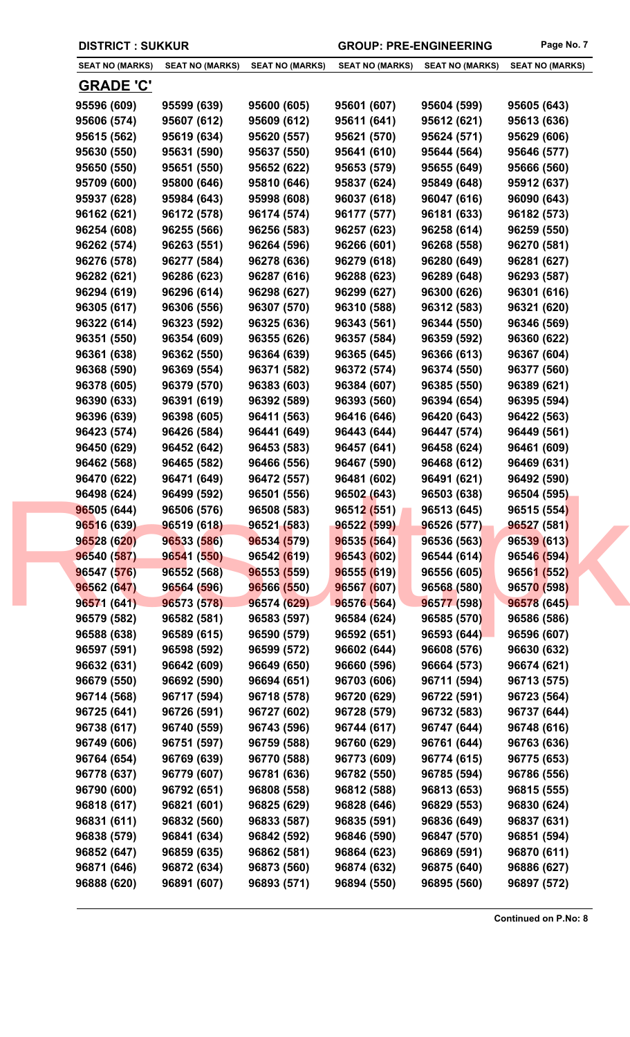| <b>SEAT NO (MARKS)</b> | <b>SEAT NO (MARKS)</b> | <b>SEAT NO (MARKS)</b> | <b>SEAT NO (MARKS)</b> | <b>SEAT NO (MARKS)</b> | <b>SEAT NO (MARKS)</b> |
|------------------------|------------------------|------------------------|------------------------|------------------------|------------------------|
|                        |                        |                        |                        |                        |                        |
| <b>GRADE 'C'</b>       |                        |                        |                        |                        |                        |
| 95596 (609)            | 95599 (639)            | 95600 (605)            | 95601 (607)            | 95604 (599)            | 95605 (643)            |
| 95606 (574)            | 95607 (612)            | 95609 (612)            | 95611 (641)            | 95612 (621)            | 95613 (636)            |
| 95615 (562)            | 95619 (634)            | 95620 (557)            | 95621 (570)            | 95624 (571)            | 95629 (606)            |
| 95630 (550)            | 95631 (590)            | 95637 (550)            | 95641 (610)            | 95644 (564)            | 95646 (577)            |
| 95650 (550)            | 95651 (550)            | 95652 (622)            | 95653 (579)            | 95655 (649)            | 95666 (560)            |
| 95709 (600)            | 95800 (646)            | 95810 (646)            | 95837 (624)            | 95849 (648)            | 95912 (637)            |
| 95937 (628)            | 95984 (643)            | 95998 (608)            | 96037 (618)            | 96047 (616)            | 96090 (643)            |
| 96162 (621)            | 96172 (578)            | 96174 (574)            | 96177 (577)            | 96181 (633)            | 96182 (573)            |
| 96254 (608)            | 96255 (566)            | 96256 (583)            | 96257 (623)            | 96258 (614)            | 96259 (550)            |
| 96262 (574)            | 96263 (551)            | 96264 (596)            | 96266 (601)            | 96268 (558)            | 96270 (581)            |
| 96276 (578)            | 96277 (584)            | 96278 (636)            | 96279 (618)            | 96280 (649)            | 96281 (627)            |
| 96282 (621)            | 96286 (623)            | 96287 (616)            | 96288 (623)            | 96289 (648)            | 96293 (587)            |
| 96294 (619)            | 96296 (614)            | 96298 (627)            | 96299 (627)            | 96300 (626)            | 96301 (616)            |
| 96305 (617)            | 96306 (556)            | 96307 (570)            | 96310 (588)            | 96312 (583)            | 96321 (620)            |
| 96322 (614)            | 96323 (592)            | 96325 (636)            | 96343 (561)            | 96344 (550)            | 96346 (569)            |
| 96351 (550)            | 96354 (609)            | 96355 (626)            | 96357 (584)            | 96359 (592)            | 96360 (622)            |
| 96361 (638)            | 96362 (550)            | 96364 (639)            | 96365 (645)            | 96366 (613)            | 96367 (604)            |
| 96368 (590)            | 96369 (554)            | 96371 (582)            | 96372 (574)            | 96374 (550)            | 96377 (560)            |
| 96378 (605)            | 96379 (570)            | 96383 (603)            | 96384 (607)            | 96385 (550)            | 96389 (621)            |
| 96390 (633)            | 96391 (619)            | 96392 (589)            | 96393 (560)            | 96394 (654)            | 96395 (594)            |
| 96396 (639)            | 96398 (605)            | 96411 (563)            | 96416 (646)            | 96420 (643)            | 96422 (563)            |
| 96423 (574)            | 96426 (584)            | 96441 (649)            | 96443 (644)            | 96447 (574)            | 96449 (561)            |
| 96450 (629)            | 96452 (642)            | 96453 (583)            | 96457 (641)            | 96458 (624)            | 96461 (609)            |
| 96462 (568)            | 96465 (582)            | 96466 (556)            | 96467 (590)            | 96468 (612)            | 96469 (631)            |
| 96470 (622)            | 96471 (649)            | 96472 (557)            | 96481 (602)            | 96491 (621)            | 96492 (590)            |
| 96498 (624)            | 96499 (592)            | 96501 (556)            | 96502 (643)            | 96503 (638)            | 96504 (595)            |
| 96505 (644)            | 96506 (576)            | 96508 (583)            | 96512 (551)            | 96513 (645)            | 96515 (554)            |
| 96516 (639)            | 96519 (618)            | 96521 (583)            | 96522 (599)            | 96526 (577)            | 96527 (581)            |
| 96528 (620)            | 96533 (586)            | 96534 (579)            | 96535 (564)            | 96536 (563)            | 96539 (613)            |
| 96540 (587)            | 96541 (550)            | 96542 (619)            | 96543 (602)            | 96544 (614)            | 96546 (594)            |
| 96547 (576)            | 96552 (568)            | 96553 (559)            | 96555 (619)            | 96556 (605)            | 96561 (552)            |
| 96562 (647)            | 96564 (596)            | 96566 (550)            | 96567 (607)            | 96568 (580)            | 96570 (598)            |
| 96571 (641)            | 96573 (578)            | 96574 (629)            | 96576 (564)            | 96577 (598)            | 96578 (645)            |
| 96579 (582)            | 96582 (581)            | 96583 (597)            | 96584 (624)            | 96585 (570)            | 96586 (586)            |
| 96588 (638)            | 96589 (615)            | 96590 (579)            | 96592 (651)            | 96593 (644)            | 96596 (607)            |
| 96597 (591)            | 96598 (592)            | 96599 (572)            | 96602 (644)            | 96608 (576)            | 96630 (632)            |
| 96632 (631)            | 96642 (609)            | 96649 (650)            | 96660 (596)            | 96664 (573)            | 96674 (621)            |
| 96679 (550)            | 96692 (590)            | 96694 (651)            | 96703 (606)            | 96711 (594)            | 96713 (575)            |
| 96714 (568)            | 96717 (594)            | 96718 (578)            | 96720 (629)            | 96722 (591)            | 96723 (564)            |
| 96725 (641)            | 96726 (591)            | 96727 (602)            | 96728 (579)            | 96732 (583)            | 96737 (644)            |
| 96738 (617)            | 96740 (559)            | 96743 (596)            | 96744 (617)            | 96747 (644)            | 96748 (616)            |
| 96749 (606)            | 96751 (597)            | 96759 (588)            | 96760 (629)            | 96761 (644)            | 96763 (636)            |
| 96764 (654)            | 96769 (639)            | 96770 (588)            | 96773 (609)            | 96774 (615)            | 96775 (653)            |
| 96778 (637)            | 96779 (607)            | 96781 (636)            | 96782 (550)            | 96785 (594)            | 96786 (556)            |
| 96790 (600)            | 96792 (651)            | 96808 (558)            | 96812 (588)            | 96813 (653)            | 96815 (555)            |
| 96818 (617)            | 96821 (601)            | 96825 (629)            | 96828 (646)            | 96829 (553)            | 96830 (624)            |
| 96831 (611)            | 96832 (560)            | 96833 (587)            | 96835 (591)            | 96836 (649)            | 96837 (631)            |
| 96838 (579)            | 96841 (634)            | 96842 (592)            | 96846 (590)            | 96847 (570)            | 96851 (594)            |
| 96852 (647)            | 96859 (635)            | 96862 (581)            | 96864 (623)            | 96869 (591)            | 96870 (611)            |
| 96871 (646)            | 96872 (634)            | 96873 (560)            | 96874 (632)            | 96875 (640)            | 96886 (627)            |
| 96888 (620)            | 96891 (607)            | 96893 (571)            | 96894 (550)            | 96895 (560)            | 96897 (572)            |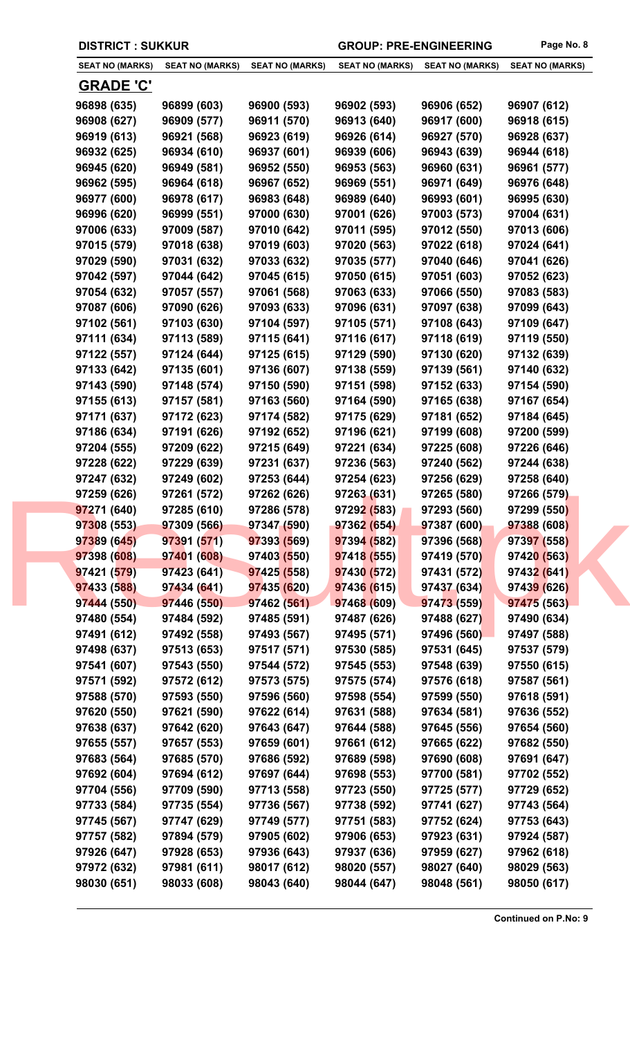| <b>SEAT NO (MARKS)</b> | <b>SEAT NO (MARKS)</b> | <b>SEAT NO (MARKS)</b> | <b>SEAT NO (MARKS)</b> | <b>SEAT NO (MARKS)</b> | <b>SEAT NO (MARKS)</b> |
|------------------------|------------------------|------------------------|------------------------|------------------------|------------------------|
|                        |                        |                        |                        |                        |                        |
| <u>GRADE 'C'</u>       |                        |                        |                        |                        |                        |
| 96898 (635)            | 96899 (603)            | 96900 (593)            | 96902 (593)            | 96906 (652)            | 96907 (612)            |
| 96908 (627)            | 96909 (577)            | 96911 (570)            | 96913 (640)            | 96917 (600)            | 96918 (615)            |
| 96919 (613)            | 96921 (568)            | 96923 (619)            | 96926 (614)            | 96927 (570)            | 96928 (637)            |
| 96932 (625)            | 96934 (610)            | 96937 (601)            | 96939 (606)            | 96943 (639)            | 96944 (618)            |
| 96945 (620)            | 96949 (581)            | 96952 (550)            | 96953 (563)            | 96960 (631)            | 96961 (577)            |
| 96962 (595)            | 96964 (618)            | 96967 (652)            | 96969 (551)            | 96971 (649)            | 96976 (648)            |
| 96977 (600)            | 96978 (617)            | 96983 (648)            | 96989 (640)            | 96993 (601)            | 96995 (630)            |
| 96996 (620)            | 96999 (551)            | 97000 (630)            | 97001 (626)            | 97003 (573)            | 97004 (631)            |
| 97006 (633)            | 97009 (587)            | 97010 (642)            | 97011 (595)            | 97012 (550)            | 97013 (606)            |
| 97015 (579)            | 97018 (638)            | 97019 (603)            | 97020 (563)            | 97022 (618)            | 97024 (641)            |
| 97029 (590)            | 97031 (632)            | 97033 (632)            | 97035 (577)            | 97040 (646)            | 97041 (626)            |
| 97042 (597)            | 97044 (642)            | 97045 (615)            | 97050 (615)            | 97051 (603)            | 97052 (623)            |
| 97054 (632)            | 97057 (557)            | 97061 (568)            | 97063 (633)            | 97066 (550)            | 97083 (583)            |
| 97087 (606)            | 97090 (626)            | 97093 (633)            | 97096 (631)            | 97097 (638)            | 97099 (643)            |
| 97102 (561)            | 97103 (630)            | 97104 (597)            | 97105 (571)            | 97108 (643)            | 97109 (647)            |
| 97111 (634)            | 97113 (589)            | 97115 (641)            | 97116 (617)            | 97118 (619)            | 97119 (550)            |
| 97122 (557)            | 97124 (644)            | 97125 (615)            | 97129 (590)            | 97130 (620)            | 97132 (639)            |
| 97133 (642)            | 97135 (601)            | 97136 (607)            | 97138 (559)            | 97139 (561)            | 97140 (632)            |
| 97143 (590)            | 97148 (574)            | 97150 (590)            | 97151 (598)            | 97152 (633)            | 97154 (590)            |
| 97155 (613)            | 97157 (581)            | 97163 (560)            | 97164 (590)            | 97165 (638)            | 97167 (654)            |
| 97171 (637)            | 97172 (623)            | 97174 (582)            | 97175 (629)            | 97181 (652)            | 97184 (645)            |
| 97186 (634)            | 97191 (626)            | 97192 (652)            | 97196 (621)            | 97199 (608)            | 97200 (599)            |
| 97204 (555)            | 97209 (622)            | 97215 (649)            | 97221 (634)            | 97225 (608)            | 97226 (646)            |
| 97228 (622)            | 97229 (639)            | 97231 (637)            | 97236 (563)            | 97240 (562)            | 97244 (638)            |
| 97247 (632)            | 97249 (602)            | 97253 (644)            | 97254 (623)            | 97256 (629)            | 97258 (640)            |
| 97259 (626)            | 97261 (572)            | 97262 (626)            | 97263 (631)            | 97265 (580)            | 97266 (579)            |
| 97271 (640)            | 97285 (610)            | 97286 (578)            | 97292 (583)            | 97293 (560)            | 97299 (550)            |
| 97308 (553)            | 97309 (566)            | 97347 (590)            | 97362 (654)            | 97387 (600)            | 97388 (608)            |
| 97389 (645)            | 97391 (571)            | 97393 (569)            | 97394 (582)            | 97396 (568)            | 97397 (558)            |
| 97398 (608)            | 97401 (608)            | 97403(550)             | 97418 (555)            | 97419 (570)            | 97420 (563)            |
| 97421 (579)            | 97423(641)             | 97425 (558)            | 97430 (572)            | 97431 (572)            | 97432 (641)            |
| 97433 (588)            | 97434 (641)            | 97435 (620)            | 97436 (615)            | 97437 (634)            | 97439 (626)            |
| 97444 (550)            | 97446 (550)            | 97462 (561)            | 97468 (609)            | 97473 (559)            | 97475 (563)            |
| 97480 (554)            | 97484 (592)            | 97485 (591)            | 97487 (626)            | 97488 (627)            | 97490 (634)            |
| 97491 (612)            | 97492 (558)            | 97493 (567)            | 97495 (571)            | 97496 (560)            | 97497 (588)            |
| 97498 (637)            | 97513 (653)            | 97517 (571)            | 97530 (585)            | 97531 (645)            | 97537 (579)            |
| 97541 (607)            | 97543 (550)            | 97544 (572)            | 97545 (553)            | 97548 (639)            | 97550 (615)            |
| 97571 (592)            | 97572 (612)            | 97573 (575)            | 97575 (574)            | 97576 (618)            | 97587 (561)            |
| 97588 (570)            | 97593 (550)            | 97596 (560)            | 97598 (554)            | 97599 (550)            | 97618 (591)            |
| 97620 (550)            | 97621 (590)            | 97622 (614)            | 97631 (588)            | 97634 (581)            | 97636 (552)            |
| 97638 (637)            | 97642 (620)            | 97643 (647)            | 97644 (588)            | 97645 (556)            | 97654 (560)            |
| 97655 (557)            | 97657 (553)            | 97659 (601)            | 97661 (612)            | 97665 (622)            | 97682 (550)            |
| 97683 (564)            | 97685 (570)            | 97686 (592)            | 97689 (598)            | 97690 (608)            | 97691 (647)            |
| 97692 (604)            | 97694 (612)            | 97697 (644)            | 97698 (553)            | 97700 (581)            | 97702 (552)            |
| 97704 (556)            | 97709 (590)            | 97713 (558)            | 97723 (550)            | 97725 (577)            | 97729 (652)            |
| 97733 (584)            | 97735 (554)            | 97736 (567)            | 97738 (592)            | 97741 (627)            | 97743 (564)            |
| 97745 (567)            | 97747 (629)            | 97749 (577)            | 97751 (583)            | 97752 (624)            | 97753 (643)            |
| 97757 (582)            | 97894 (579)            | 97905 (602)            | 97906 (653)            | 97923 (631)            | 97924 (587)            |
| 97926 (647)            | 97928 (653)            | 97936 (643)            | 97937 (636)            | 97959 (627)            | 97962 (618)            |
|                        |                        |                        |                        |                        |                        |
| 97972 (632)            | 97981 (611)            | 98017 (612)            | 98020 (557)            | 98027 (640)            | 98029 (563)            |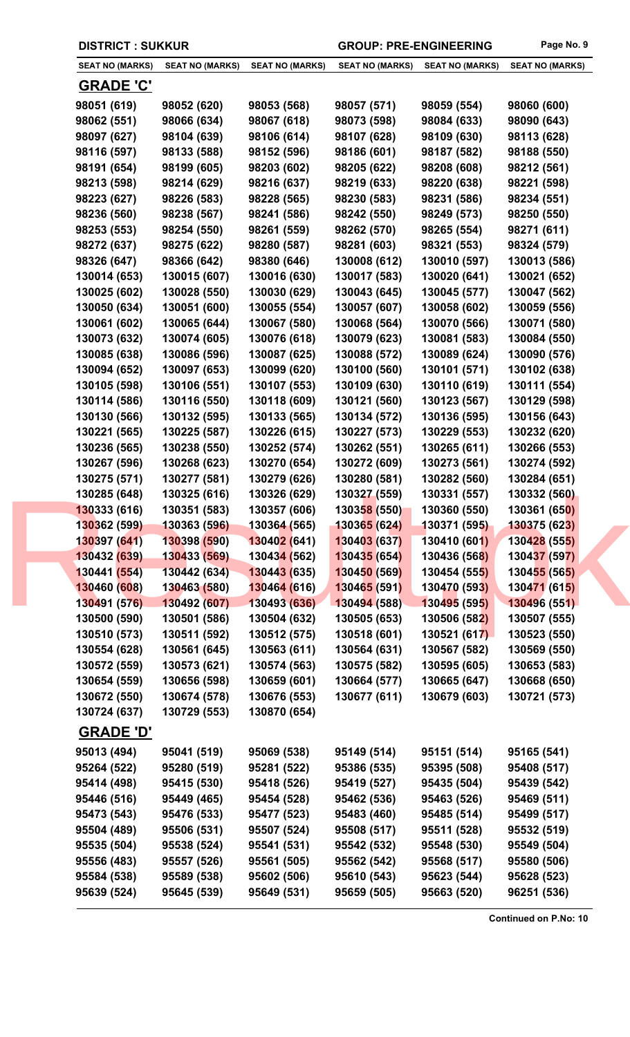| <b>SEAT NO (MARKS)</b> | <b>SEAT NO (MARKS)</b> | <b>SEAT NO (MARKS)</b>           | <b>SEAT NO (MARKS)</b> | <b>SEAT NO (MARKS)</b> | <b>SEAT NO (MARKS)</b> |
|------------------------|------------------------|----------------------------------|------------------------|------------------------|------------------------|
| <b>GRADE 'C'</b>       |                        |                                  |                        |                        |                        |
| 98051 (619)            | 98052 (620)            | 98053 (568)                      | 98057 (571)            | 98059 (554)            | 98060 (600)            |
| 98062 (551)            | 98066 (634)            | 98067 (618)                      | 98073 (598)            | 98084 (633)            | 98090 (643)            |
| 98097 (627)            | 98104 (639)            | 98106 (614)                      | 98107 (628)            | 98109 (630)            | 98113 (628)            |
| 98116 (597)            | 98133 (588)            | 98152 (596)                      | 98186 (601)            | 98187 (582)            | 98188 (550)            |
| 98191 (654)            | 98199 (605)            | 98203 (602)                      | 98205 (622)            | 98208 (608)            | 98212 (561)            |
| 98213 (598)            | 98214 (629)            | 98216 (637)                      | 98219 (633)            | 98220 (638)            | 98221 (598)            |
| 98223 (627)            | 98226 (583)            | 98228 (565)                      | 98230 (583)            | 98231 (586)            | 98234 (551)            |
| 98236 (560)            | 98238 (567)            | 98241 (586)                      | 98242 (550)            | 98249 (573)            | 98250 (550)            |
| 98253 (553)            | 98254 (550)            | 98261 (559)                      | 98262 (570)            | 98265 (554)            | 98271 (611)            |
| 98272 (637)            | 98275 (622)            | 98280 (587)                      | 98281 (603)            | 98321 (553)            | 98324 (579)            |
| 98326 (647)            | 98366 (642)            | 98380 (646)                      | 130008 (612)           | 130010 (597)           | 130013 (586)           |
| 130014 (653)           | 130015 (607)           | 130016 (630)                     | 130017 (583)           | 130020 (641)           | 130021 (652)           |
| 130025 (602)           | 130028 (550)           | 130030 (629)                     | 130043 (645)           | 130045 (577)           | 130047 (562)           |
| 130050 (634)           | 130051 (600)           | 130055 (554)                     | 130057 (607)           | 130058 (602)           | 130059 (556)           |
| 130061 (602)           | 130065 (644)           | 130067 (580)                     | 130068 (564)           | 130070 (566)           | 130071 (580)           |
| 130073 (632)           | 130074 (605)           | 130076 (618)                     | 130079 (623)           | 130081 (583)           | 130084 (550)           |
| 130085 (638)           | 130086 (596)           | 130087 (625)                     | 130088 (572)           | 130089 (624)           | 130090 (576)           |
| 130094 (652)           | 130097 (653)           | 130099 (620)                     | 130100 (560)           | 130101 (571)           | 130102 (638)           |
| 130105 (598)           | 130106 (551)           | 130107 (553)                     | 130109 (630)           | 130110 (619)           | 130111 (554)           |
| 130114 (586)           | 130116 (550)           | 130118 (609)                     | 130121 (560)           | 130123 (567)           | 130129 (598)           |
| 130130 (566)           | 130132 (595)           | 130133 (565)                     | 130134 (572)           | 130136 (595)           | 130156 (643)           |
| 130221 (565)           | 130225 (587)           | 130226 (615)                     | 130227 (573)           | 130229 (553)           | 130232 (620)           |
| 130236 (565)           | 130238 (550)           | 130252 (574)                     | 130262 (551)           | 130265 (611)           | 130266 (553)           |
| 130267 (596)           | 130268 (623)           | 130270 (654)                     | 130272 (609)           | 130273 (561)           | 130274 (592)           |
| 130275 (571)           | 130277 (581)           | 130279 (626)                     | 130280 (581)           | 130282 (560)           | 130284 (651)           |
| 130285 (648)           | 130325 (616)           | 130326 (629)                     | 130327 (559)           | 130331 (557)           | 130332 (560)           |
| 130333 (616)           | 130351 (583)           | 130357 (606)                     | 130358 (550)           | 130360 (550)           | 130361 (650)           |
| 130362 (599)           | 130363 (596)           | 130364 (565)                     | 130365 (624)           | 130371 (595)           | <b>130375 (623)</b>    |
| 130397 (641)           | 130398 (590)           | 130402 (641)                     | 130403 (637)           | 130410 (601)           | 130428 (555)           |
| 130432 (639)           | 130433 (569)           | 13043 <mark>4 (</mark> 562)      | 130435 (654)           | 130436 (568)           | 130437 (597)           |
| 130441 (554)           | 130442 (634)           | <b>13044<mark>3</mark></b> (635) | 130450 (569)           | 130454 (555)           | 130455 (565)           |
| 130460 (608)           | 130463 (580)           | 130464 (616)                     | 130465 (591)           | 130470 (593)           | 130471 (615)           |
| 130491 (576)           | 130492 (607)           | 130493 (636)                     | 130494 (588)           | 130495 (595)           | 130496 (551)           |
| 130500 (590)           | 130501 (586)           | 130504 (632)                     | 130505 (653)           | 130506 (582)           | 130507 (555)           |
| 130510 (573)           | 130511 (592)           | 130512 (575)                     | 130518 (601)           | 130521 (617)           | 130523 (550)           |
| 130554 (628)           | 130561 (645)           | 130563 (611)                     | 130564 (631)           | 130567 (582)           | 130569 (550)           |
| 130572 (559)           | 130573 (621)           | 130574 (563)                     | 130575 (582)           | 130595 (605)           | 130653 (583)           |
| 130654 (559)           | 130656 (598)           | 130659 (601)                     | 130664 (577)           | 130665 (647)           | 130668 (650)           |
| 130672 (550)           | 130674 (578)           | 130676 (553)                     | 130677 (611)           | 130679 (603)           | 130721 (573)           |
| 130724 (637)           | 130729 (553)           | 130870 (654)                     |                        |                        |                        |
| <b>GRADE 'D'</b>       |                        |                                  |                        |                        |                        |
| 95013 (494)            | 95041 (519)            | 95069 (538)                      | 95149 (514)            | 95151 (514)            | 95165 (541)            |
| 95264 (522)            | 95280 (519)            | 95281 (522)                      | 95386 (535)            | 95395 (508)            | 95408 (517)            |
| 95414 (498)            | 95415 (530)            | 95418 (526)                      | 95419 (527)            | 95435 (504)            | 95439 (542)            |
| 95446 (516)            | 95449 (465)            | 95454 (528)                      | 95462 (536)            | 95463 (526)            | 95469 (511)            |
| 95473 (543)            | 95476 (533)            | 95477 (523)                      | 95483 (460)            | 95485 (514)            | 95499 (517)            |
| 95504 (489)            | 95506 (531)            | 95507 (524)                      | 95508 (517)            | 95511 (528)            | 95532 (519)            |
| 95535 (504)            | 95538 (524)            | 95541 (531)                      | 95542 (532)            | 95548 (530)            | 95549 (504)            |
| 95556 (483)            | 95557 (526)            | 95561 (505)                      | 95562 (542)            | 95568 (517)            | 95580 (506)            |
| 95584 (538)            | 95589 (538)            | 95602 (506)                      | 95610 (543)            | 95623 (544)            | 95628 (523)            |
| 95639 (524)            | 95645 (539)            | 95649 (531)                      | 95659 (505)            | 95663 (520)            | 96251 (536)            |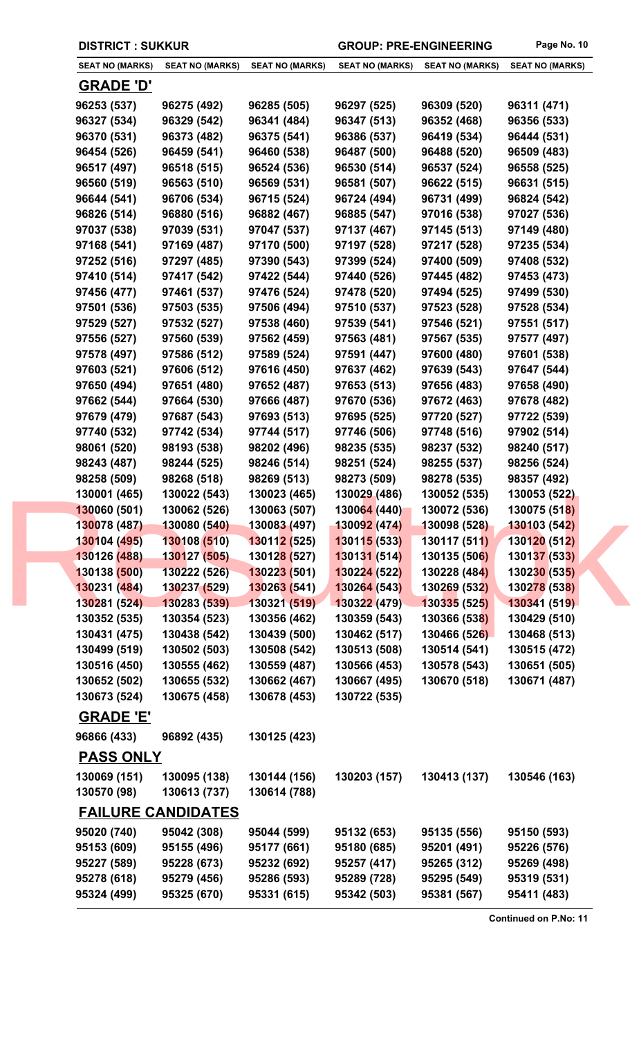| <b>SEAT NO (MARKS)</b>          | <b>SEAT NO (MARKS)</b>                   | <b>SEAT NO (MARKS)</b>      | <b>SEAT NO (MARKS)</b> | <b>SEAT NO (MARKS)</b> | <b>SEAT NO (MARKS)</b> |
|---------------------------------|------------------------------------------|-----------------------------|------------------------|------------------------|------------------------|
| <u>GRADE 'D'</u>                |                                          |                             |                        |                        |                        |
| 96253 (537)                     | 96275 (492)                              | 96285 (505)                 | 96297 (525)            | 96309 (520)            | 96311 (471)            |
| 96327 (534)                     | 96329 (542)                              | 96341 (484)                 | 96347 (513)            | 96352 (468)            | 96356 (533)            |
| 96370 (531)                     | 96373 (482)                              | 96375 (541)                 | 96386 (537)            | 96419 (534)            | 96444 (531)            |
| 96454 (526)                     | 96459 (541)                              | 96460 (538)                 | 96487 (500)            | 96488 (520)            | 96509 (483)            |
| 96517 (497)                     | 96518 (515)                              | 96524 (536)                 | 96530 (514)            | 96537 (524)            | 96558 (525)            |
| 96560 (519)                     | 96563 (510)                              | 96569 (531)                 | 96581 (507)            | 96622 (515)            | 96631 (515)            |
| 96644 (541)                     | 96706 (534)                              | 96715 (524)                 | 96724 (494)            | 96731 (499)            | 96824 (542)            |
| 96826 (514)                     | 96880 (516)                              | 96882 (467)                 | 96885 (547)            | 97016 (538)            | 97027 (536)            |
| 97037 (538)                     | 97039 (531)                              | 97047 (537)                 | 97137 (467)            | 97145 (513)            | 97149 (480)            |
| 97168 (541)                     | 97169 (487)                              | 97170 (500)                 | 97197 (528)            | 97217 (528)            | 97235 (534)            |
| 97252 (516)                     | 97297 (485)                              | 97390 (543)                 | 97399 (524)            | 97400 (509)            | 97408 (532)            |
| 97410 (514)                     | 97417 (542)                              | 97422 (544)                 | 97440 (526)            | 97445 (482)            | 97453 (473)            |
| 97456 (477)                     | 97461 (537)                              | 97476 (524)                 | 97478 (520)            | 97494 (525)            | 97499 (530)            |
| 97501 (536)                     | 97503 (535)                              | 97506 (494)                 | 97510 (537)            | 97523 (528)            | 97528 (534)            |
| 97529 (527)                     | 97532 (527)                              | 97538 (460)                 | 97539 (541)            | 97546 (521)            | 97551 (517)            |
| 97556 (527)                     | 97560 (539)                              | 97562 (459)                 | 97563 (481)            | 97567 (535)            | 97577 (497)            |
| 97578 (497)                     | 97586 (512)                              | 97589 (524)                 | 97591 (447)            | 97600 (480)            | 97601 (538)            |
| 97603 (521)                     | 97606 (512)                              | 97616 (450)                 | 97637 (462)            | 97639 (543)            | 97647 (544)            |
| 97650 (494)                     | 97651 (480)                              | 97652 (487)                 | 97653 (513)            | 97656 (483)            | 97658 (490)            |
| 97662 (544)                     | 97664 (530)                              | 97666 (487)                 | 97670 (536)            | 97672 (463)            | 97678 (482)            |
| 97679 (479)                     | 97687 (543)                              | 97693 (513)                 | 97695 (525)            | 97720 (527)            | 97722 (539)            |
| 97740 (532)                     | 97742 (534)                              | 97744 (517)                 | 97746 (506)            | 97748 (516)            | 97902 (514)            |
| 98061 (520)                     | 98193 (538)                              | 98202 (496)                 | 98235 (535)            | 98237 (532)            | 98240 (517)            |
| 98243 (487)                     | 98244 (525)                              | 98246 (514)                 | 98251 (524)            | 98255 (537)            | 98256 (524)            |
| 98258 (509)                     | 98268 (518)                              | 98269 (513)                 | 98273 (509)            | 98278 (535)            | 98357 (492)            |
| 130001 (465)                    | 130022 (543)                             | 130023 (465)                | 130029 (486)           | 130052 (535)           | 130053 (522)           |
| 130060 (501)                    | 130062 (526)                             | 130063 (507)                | 130064 (440)           | 130072 (536)           | 130075 (518)           |
| 130078 (487)                    | $130080(540)$ 130083 (497)               |                             | 130092(474)            | 130098 (528)           | 130103 (542)           |
| 130104 (495)                    | 130108 (510)                             | 130112 (525)                | 130115 (533)           | 130117(511)            | 130120 (512)           |
| 130126 (488)                    | 130127 (505)                             | 13012 <mark>8 (</mark> 527) | 130131 (514)           | 130135 (506)           | 130137 (533)           |
| 130138 (500)                    | 130222 (526)                             | 130223(501)                 | 130224 (522)           | 130228 (484)           | 130230 (535)           |
| 130231 (484)                    | 130237 (529)                             | 130263 (541)                | 130264 (543)           | 130269 (532)           | 130278 (538)           |
| 130281 (524)                    | 130283 (539)                             | 130321 (519)                | 130322 (479)           | 130335 (525)           | 130341 (519)           |
| 130352 (535)                    | 130354 (523)                             | 130356 (462)                | 130359 (543)           | 130366 (538)           | 130429 (510)           |
| 130431 (475)                    | 130438 (542)                             | 130439 (500)                | 130462 (517)           | 130466 (526)           | 130468 (513)           |
| 130499 (519)                    | 130502 (503)                             | 130508 (542)                | 130513 (508)           | 130514 (541)           | 130515 (472)           |
| 130516 (450)                    | 130555 (462)                             | 130559 (487)                | 130566 (453)           | 130578 (543)           | 130651 (505)           |
| 130652 (502)                    | 130655 (532)                             | 130662 (467)                | 130667 (495)           | 130670 (518)           | 130671 (487)           |
| 130673 (524)                    | 130675 (458)                             | 130678 (453)                | 130722 (535)           |                        |                        |
|                                 |                                          |                             |                        |                        |                        |
| <b>GRADE 'E'</b><br>96866 (433) | 96892 (435)                              | 130125 (423)                |                        |                        |                        |
| <b>PASS ONLY</b>                |                                          |                             |                        |                        |                        |
|                                 |                                          |                             |                        |                        |                        |
| 130069 (151)                    | 130095 (138)                             | 130144 (156)                | 130203 (157)           | 130413 (137)           | 130546 (163)           |
| 130570 (98)                     | 130613 (737)                             | 130614 (788)                |                        |                        |                        |
| 95020 (740)                     | <b>FAILURE CANDIDATES</b><br>95042 (308) | 95044 (599)                 | 95132 (653)            | 95135 (556)            | 95150 (593)            |
| 95153 (609)                     | 95155 (496)                              | 95177 (661)                 | 95180 (685)            | 95201 (491)            | 95226 (576)            |
| 95227 (589)                     | 95228 (673)                              | 95232 (692)                 | 95257 (417)            | 95265 (312)            | 95269 (498)            |
|                                 |                                          |                             |                        |                        |                        |
| 95278 (618)                     | 95279 (456)                              | 95286 (593)                 | 95289 (728)            | 95295 (549)            | 95319 (531)            |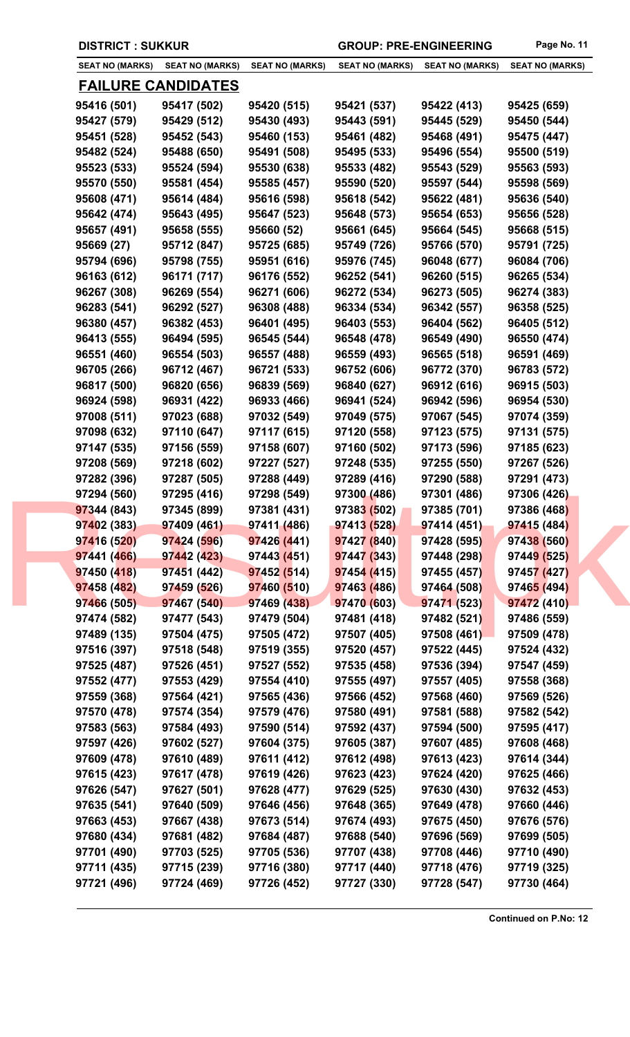| <b>SEAT NO (MARKS)</b>     | <b>SEAT NO (MARKS)</b>    | <b>SEAT NO (MARKS)</b> | <b>SEAT NO (MARKS)</b> | <b>SEAT NO (MARKS)</b> | <b>SEAT NO (MARKS)</b> |
|----------------------------|---------------------------|------------------------|------------------------|------------------------|------------------------|
|                            | <u>FAILURE CANDIDATES</u> |                        |                        |                        |                        |
| 95416 (501)                | 95417 (502)               | 95420 (515)            | 95421 (537)            | 95422 (413)            | 95425 (659)            |
| 95427 (579)                | 95429 (512)               | 95430 (493)            | 95443 (591)            | 95445 (529)            | 95450 (544)            |
| 95451 (528)                | 95452 (543)               | 95460 (153)            | 95461 (482)            | 95468 (491)            | 95475 (447)            |
| 95482 (524)                | 95488 (650)               | 95491 (508)            | 95495 (533)            | 95496 (554)            | 95500 (519)            |
| 95523 (533)                | 95524 (594)               | 95530 (638)            | 95533 (482)            | 95543 (529)            | 95563 (593)            |
| 95570 (550)                | 95581 (454)               | 95585 (457)            | 95590 (520)            | 95597 (544)            | 95598 (569)            |
| 95608 (471)                | 95614 (484)               | 95616 (598)            | 95618 (542)            | 95622 (481)            | 95636 (540)            |
| 95642 (474)                | 95643 (495)               | 95647 (523)            | 95648 (573)            | 95654 (653)            | 95656 (528)            |
| 95657 (491)                | 95658 (555)               | 95660 (52)             | 95661 (645)            | 95664 (545)            | 95668 (515)            |
| 95669 (27)                 | 95712 (847)               | 95725 (685)            | 95749 (726)            | 95766 (570)            | 95791 (725)            |
| 95794 (696)                | 95798 (755)               | 95951 (616)            | 95976 (745)            | 96048 (677)            | 96084 (706)            |
| 96163 (612)                | 96171 (717)               | 96176 (552)            | 96252 (541)            | 96260 (515)            | 96265 (534)            |
| 96267 (308)                | 96269 (554)               | 96271 (606)            | 96272 (534)            | 96273 (505)            | 96274 (383)            |
| 96283 (541)                | 96292 (527)               | 96308 (488)            | 96334 (534)            | 96342 (557)            | 96358 (525)            |
| 96380 (457)                | 96382 (453)               | 96401 (495)            | 96403 (553)            | 96404 (562)            | 96405 (512)            |
| 96413 (555)                | 96494 (595)               | 96545 (544)            | 96548 (478)            | 96549 (490)            | 96550 (474)            |
| 96551 (460)                | 96554 (503)               | 96557 (488)            | 96559 (493)            | 96565 (518)            | 96591 (469)            |
| 96705 (266)                | 96712 (467)               | 96721 (533)            | 96752 (606)            | 96772 (370)            | 96783 (572)            |
| 96817 (500)                | 96820 (656)               | 96839 (569)            | 96840 (627)            | 96912 (616)            | 96915 (503)            |
|                            |                           |                        |                        |                        |                        |
| 96924 (598)                | 96931 (422)               | 96933 (466)            | 96941 (524)            | 96942 (596)            | 96954 (530)            |
| 97008 (511)                | 97023 (688)               | 97032 (549)            | 97049 (575)            | 97067 (545)            | 97074 (359)            |
| 97098 (632)                | 97110 (647)               | 97117 (615)            | 97120 (558)            | 97123 (575)            | 97131 (575)            |
| 97147 (535)                | 97156 (559)               | 97158 (607)            | 97160 (502)            | 97173 (596)            | 97185 (623)            |
| 97208 (569)                | 97218 (602)               | 97227 (527)            | 97248 (535)            | 97255 (550)            | 97267 (526)            |
| 97282 (396)                | 97287 (505)               | 97288 (449)            | 97289 (416)            | 97290 (588)            | 97291 (473)            |
| 97294 (560)                | 97295 (416)               | 97298 (549)            | 97300 (486)            | 97301 (486)            | 97306 (426)            |
| 97344 (843)                | 97345 (899)               | 97381 (431)            | 97383 (502)            | 97385 (701)            | 97386 (468)            |
| 97402 (383)<br>97416 (520) | 97409 (461)               | 97411 (486)            | 97413 (528)            | 97414 (451)            | 97415 (484)            |
|                            | 97424 (596)               | 97426 (441)            | 97427 (840)            | 97428 (595)            | 97438 (560)            |
| 97441 (466)                | 97442 (423)               | 97443 (451)            | 97447 (343)            | 97448 (298)            | 97449 (525)            |
| 97450 (418)                | 97451(442)                | 97452(514)             | 97454 (415)            | 97455 (457)            | 97457 (427)            |
| 97458 (482)                | 97459 (526)               | 97460 (510)            | 97463 (486)            | 97464 (508)            | 97465 (494)            |
| 97466 (505)                | 97467 (540)               | 97469 (438)            | 97470 (603)            | 97471 (523)            | 97472 (410)            |
| 97474 (582)                | 97477 (543)               | 97479 (504)            | 97481 (418)            | 97482 (521)            | 97486 (559)            |
| 97489 (135)                | 97504 (475)               | 97505 (472)            | 97507 (405)            | 97508 (461)            | 97509 (478)            |
| 97516 (397)                | 97518 (548)               | 97519 (355)            | 97520 (457)            | 97522 (445)            | 97524 (432)            |
| 97525 (487)                | 97526 (451)               | 97527 (552)            | 97535 (458)            | 97536 (394)            | 97547 (459)            |
| 97552 (477)                | 97553 (429)               | 97554 (410)            | 97555 (497)            | 97557 (405)            | 97558 (368)            |
| 97559 (368)                | 97564 (421)               | 97565 (436)            | 97566 (452)            | 97568 (460)            | 97569 (526)            |
| 97570 (478)                | 97574 (354)               | 97579 (476)            | 97580 (491)            | 97581 (588)            | 97582 (542)            |
| 97583 (563)                | 97584 (493)               | 97590 (514)            | 97592 (437)            | 97594 (500)            | 97595 (417)            |
| 97597 (426)                | 97602 (527)               | 97604 (375)            | 97605 (387)            | 97607 (485)            | 97608 (468)            |
| 97609 (478)                | 97610 (489)               | 97611 (412)            | 97612 (498)            | 97613 (423)            | 97614 (344)            |
| 97615 (423)                | 97617 (478)               | 97619 (426)            | 97623 (423)            | 97624 (420)            | 97625 (466)            |
| 97626 (547)                | 97627 (501)               | 97628 (477)            | 97629 (525)            | 97630 (430)            | 97632 (453)            |
| 97635 (541)                | 97640 (509)               | 97646 (456)            | 97648 (365)            | 97649 (478)            | 97660 (446)            |
| 97663 (453)                | 97667 (438)               | 97673 (514)            | 97674 (493)            | 97675 (450)            | 97676 (576)            |
| 97680 (434)                | 97681 (482)               | 97684 (487)            | 97688 (540)            | 97696 (569)            | 97699 (505)            |
| 97701 (490)                | 97703 (525)               | 97705 (536)            | 97707 (438)            | 97708 (446)            | 97710 (490)            |
| 97711 (435)                | 97715 (239)               | 97716 (380)            | 97717 (440)            | 97718 (476)            | 97719 (325)            |
| 97721 (496)                | 97724 (469)               | 97726 (452)            | 97727 (330)            | 97728 (547)            | 97730 (464)            |